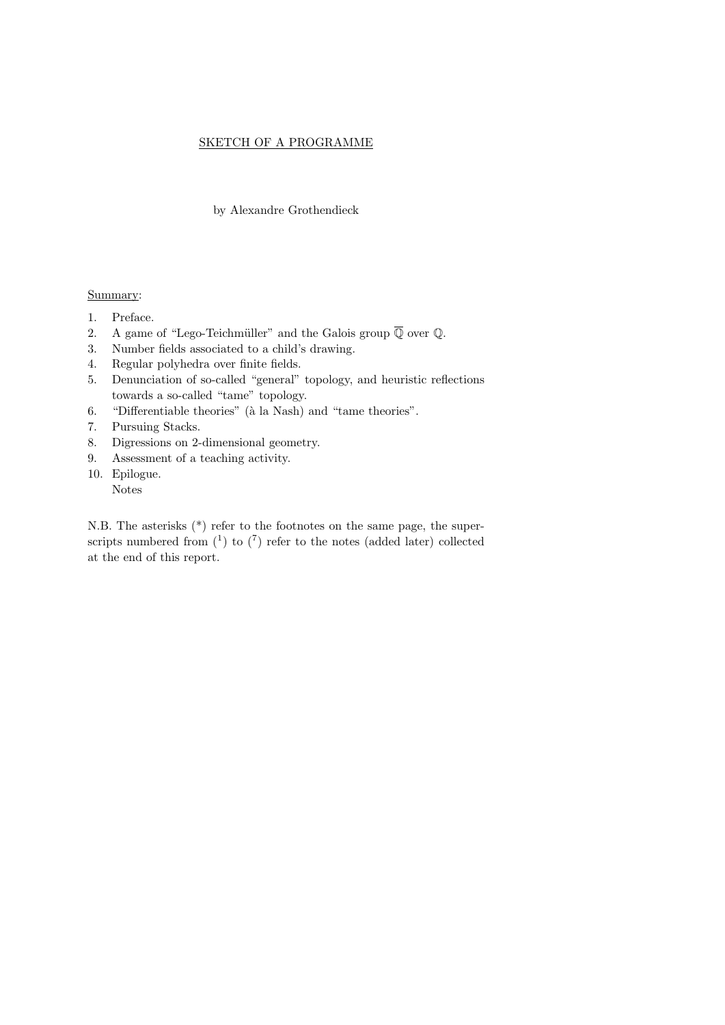# SKETCH OF A PROGRAMME

by Alexandre Grothendieck

## Summary:

- 1. Preface.
- 2. A game of "Lego-Teichmüller" and the Galois group  $\overline{Q}$  over  $Q$ .
- 3. Number fields associated to a child's drawing.
- 4. Regular polyhedra over finite fields.
- 5. Denunciation of so-called "general" topology, and heuristic reflections towards a so-called "tame" topology.
- 6. "Differentiable theories" (à la Nash) and "tame theories".
- 7. Pursuing Stacks.
- 8. Digressions on 2-dimensional geometry.
- 9. Assessment of a teaching activity.
- 10. Epilogue. Notes

N.B. The asterisks (\*) refer to the footnotes on the same page, the superscripts numbered from  $(1)$  to  $(7)$  refer to the notes (added later) collected at the end of this report.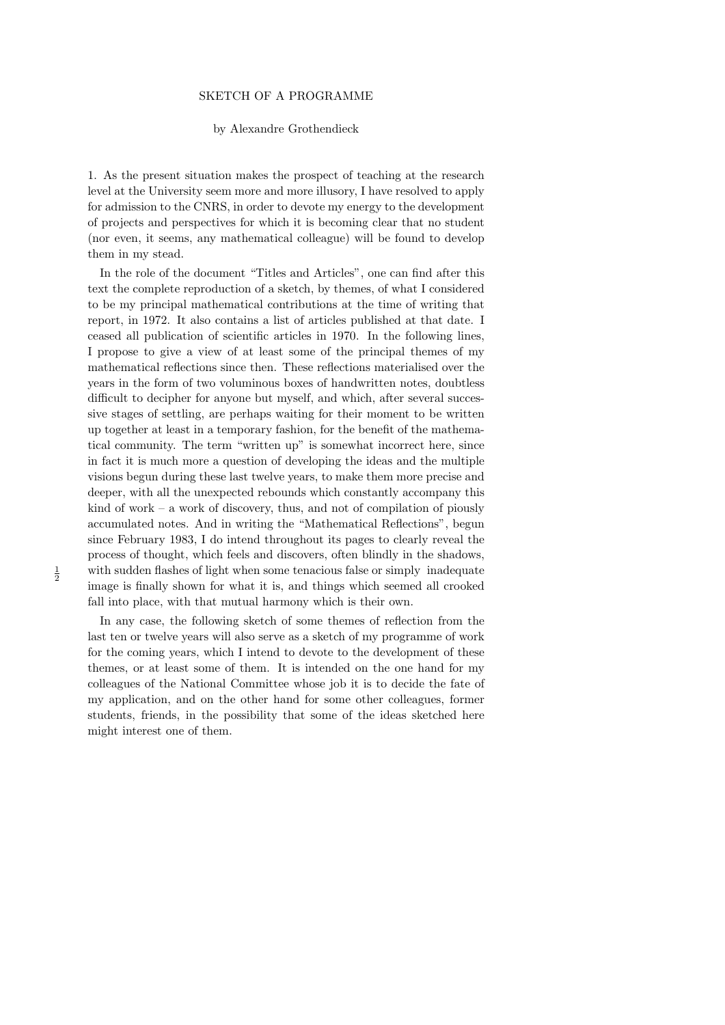### SKETCH OF A PROGRAMME

### by Alexandre Grothendieck

1. As the present situation makes the prospect of teaching at the research level at the University seem more and more illusory, I have resolved to apply for admission to the CNRS, in order to devote my energy to the development of projects and perspectives for which it is becoming clear that no student (nor even, it seems, any mathematical colleague) will be found to develop them in my stead.

In the role of the document "Titles and Articles", one can find after this text the complete reproduction of a sketch, by themes, of what I considered to be my principal mathematical contributions at the time of writing that report, in 1972. It also contains a list of articles published at that date. I ceased all publication of scientific articles in 1970. In the following lines, I propose to give a view of at least some of the principal themes of my mathematical reflections since then. These reflections materialised over the years in the form of two voluminous boxes of handwritten notes, doubtless difficult to decipher for anyone but myself, and which, after several successive stages of settling, are perhaps waiting for their moment to be written up together at least in a temporary fashion, for the benefit of the mathematical community. The term "written up" is somewhat incorrect here, since in fact it is much more a question of developing the ideas and the multiple visions begun during these last twelve years, to make them more precise and deeper, with all the unexpected rebounds which constantly accompany this kind of work – a work of discovery, thus, and not of compilation of piously accumulated notes. And in writing the "Mathematical Reflections", begun since February 1983, I do intend throughout its pages to clearly reveal the process of thought, which feels and discovers, often blindly in the shadows, with sudden flashes of light when some tenacious false or simply inadequate image is finally shown for what it is, and things which seemed all crooked fall into place, with that mutual harmony which is their own.

In any case, the following sketch of some themes of reflection from the last ten or twelve years will also serve as a sketch of my programme of work for the coming years, which I intend to devote to the development of these themes, or at least some of them. It is intended on the one hand for my colleagues of the National Committee whose job it is to decide the fate of my application, and on the other hand for some other colleagues, former students, friends, in the possibility that some of the ideas sketched here might interest one of them.

 $\frac{1}{2}$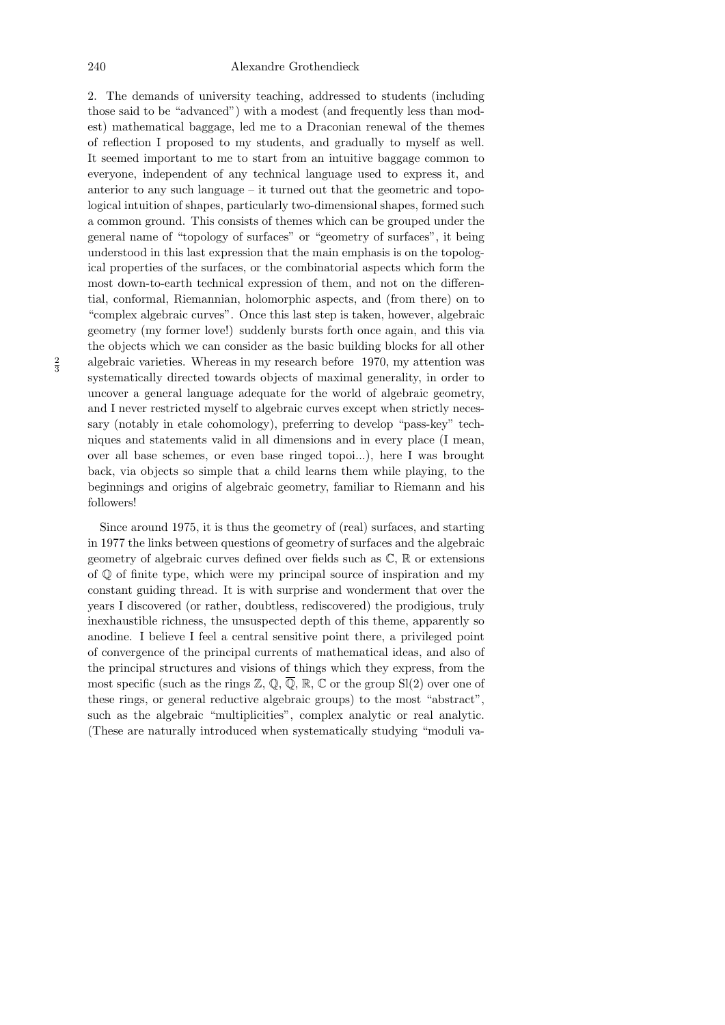2. The demands of university teaching, addressed to students (including those said to be "advanced") with a modest (and frequently less than modest) mathematical baggage, led me to a Draconian renewal of the themes of reflection I proposed to my students, and gradually to myself as well. It seemed important to me to start from an intuitive baggage common to everyone, independent of any technical language used to express it, and anterior to any such language – it turned out that the geometric and topological intuition of shapes, particularly two-dimensional shapes, formed such a common ground. This consists of themes which can be grouped under the general name of "topology of surfaces" or "geometry of surfaces", it being understood in this last expression that the main emphasis is on the topological properties of the surfaces, or the combinatorial aspects which form the most down-to-earth technical expression of them, and not on the differential, conformal, Riemannian, holomorphic aspects, and (from there) on to "complex algebraic curves". Once this last step is taken, however, algebraic geometry (my former love!) suddenly bursts forth once again, and this via the objects which we can consider as the basic building blocks for all other algebraic varieties. Whereas in my research before 1970, my attention was <sup>2</sup> systematically directed towards objects of maximal generality, in order to uncover a general language adequate for the world of algebraic geometry, and I never restricted myself to algebraic curves except when strictly necessary (notably in etale cohomology), preferring to develop "pass-key" techniques and statements valid in all dimensions and in every place (I mean, over all base schemes, or even base ringed topoi...), here I was brought back, via objects so simple that a child learns them while playing, to the beginnings and origins of algebraic geometry, familiar to Riemann and his followers!

Since around 1975, it is thus the geometry of (real) surfaces, and starting in 1977 the links between questions of geometry of surfaces and the algebraic geometry of algebraic curves defined over fields such as  $\mathbb{C}, \mathbb{R}$  or extensions of  $\mathbb Q$  of finite type, which were my principal source of inspiration and my constant guiding thread. It is with surprise and wonderment that over the years I discovered (or rather, doubtless, rediscovered) the prodigious, truly inexhaustible richness, the unsuspected depth of this theme, apparently so anodine. I believe I feel a central sensitive point there, a privileged point of convergence of the principal currents of mathematical ideas, and also of the principal structures and visions of things which they express, from the most specific (such as the rings  $\mathbb{Z}, \mathbb{Q}, \mathbb{Q}, \mathbb{R}, \mathbb{C}$  or the group  $\text{Sl}(2)$  over one of these rings, or general reductive algebraic groups) to the most "abstract", such as the algebraic "multiplicities", complex analytic or real analytic. (These are naturally introduced when systematically studying "moduli va-

 $\frac{2}{3}$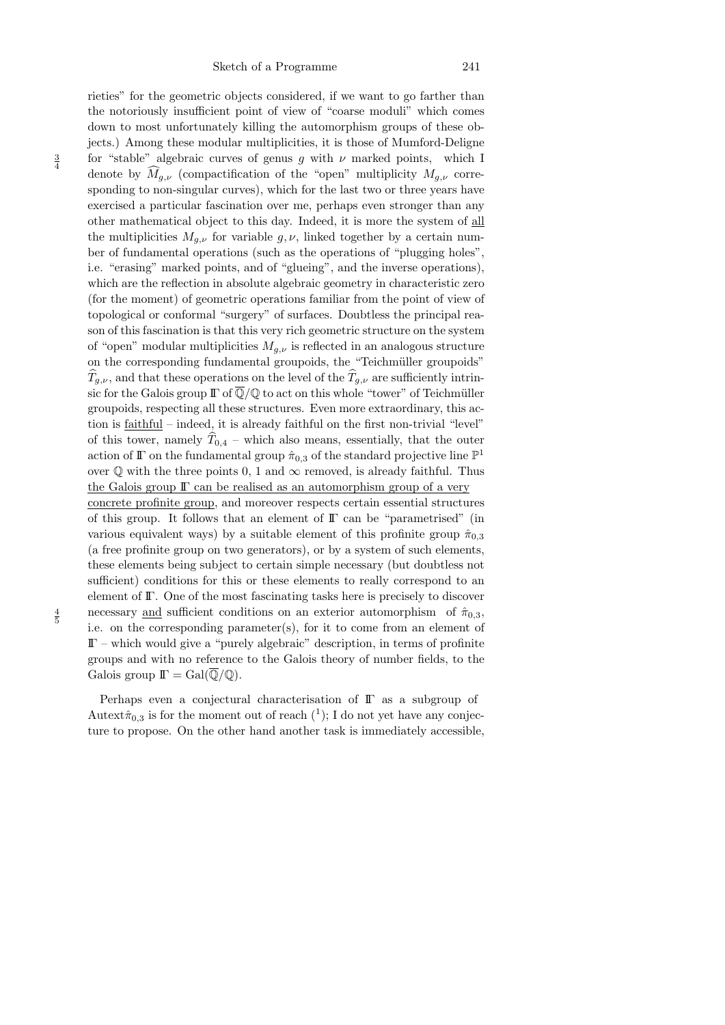rieties" for the geometric objects considered, if we want to go farther than the notoriously insufficient point of view of "coarse moduli" which comes down to most unfortunately killing the automorphism groups of these objects.) Among these modular multiplicities, it is those of Mumford-Deligne for "stable" algebraic curves of genus g with  $\nu$  marked points, which I denote by  $M_{q,\nu}$  (compactification of the "open" multiplicity  $M_{q,\nu}$  corresponding to non-singular curves), which for the last two or three years have exercised a particular fascination over me, perhaps even stronger than any other mathematical object to this day. Indeed, it is more the system of all the multiplicities  $M_{q,\nu}$  for variable  $q, \nu$ , linked together by a certain number of fundamental operations (such as the operations of "plugging holes", i.e. "erasing" marked points, and of "glueing", and the inverse operations), which are the reflection in absolute algebraic geometry in characteristic zero (for the moment) of geometric operations familiar from the point of view of topological or conformal "surgery" of surfaces. Doubtless the principal reason of this fascination is that this very rich geometric structure on the system of "open" modular multiplicities  $M_{g,\nu}$  is reflected in an analogous structure on the corresponding fundamental groupoids, the "Teichmüller groupoids"  $\hat{T}_{q,\nu}$ , and that these operations on the level of the  $\hat{T}_{q,\nu}$  are sufficiently intrinsic for the Galois group  $\Gamma$  of  $\overline{\mathbb{Q}}/\mathbb{Q}$  to act on this whole "tower" of Teichmüller groupoids, respecting all these structures. Even more extraordinary, this action is faithful – indeed, it is already faithful on the first non-trivial "level" of this tower, namely  $T_{0,4}$  – which also means, essentially, that the outer action of  $\Gamma$  on the fundamental group  $\hat{\pi}_{0,3}$  of the standard projective line  $\mathbb{P}^1$ over  $\mathbb Q$  with the three points 0, 1 and  $\infty$  removed, is already faithful. Thus the Galois group  $\Gamma$  can be realised as an automorphism group of a very concrete profinite group, and moreover respects certain essential structures of this group. It follows that an element of  $\Gamma$  can be "parametrised" (in various equivalent ways) by a suitable element of this profinite group  $\hat{\pi}_{0,3}$ (a free profinite group on two generators), or by a system of such elements, these elements being subject to certain simple necessary (but doubtless not sufficient) conditions for this or these elements to really correspond to an element of IΓ. One of the most fascinating tasks here is precisely to discover necessary and sufficient conditions on an exterior automorphism of  $\hat{\pi}_{0,3}$ , i.e. on the corresponding parameter(s), for it to come from an element of IΓ – which would give a "purely algebraic" description, in terms of profinite groups and with no reference to the Galois theory of number fields, to the Galois group  $\mathbb{\Gamma} = \text{Gal}(\overline{\mathbb{Q}}/\mathbb{Q})$ .

Perhaps even a conjectural characterisation of IΓ as a subgroup of Autext $\hat{\pi}_{0,3}$  is for the moment out of reach  $(1)$ ; I do not yet have any conjecture to propose. On the other hand another task is immediately accessible,

 $\frac{4}{5}$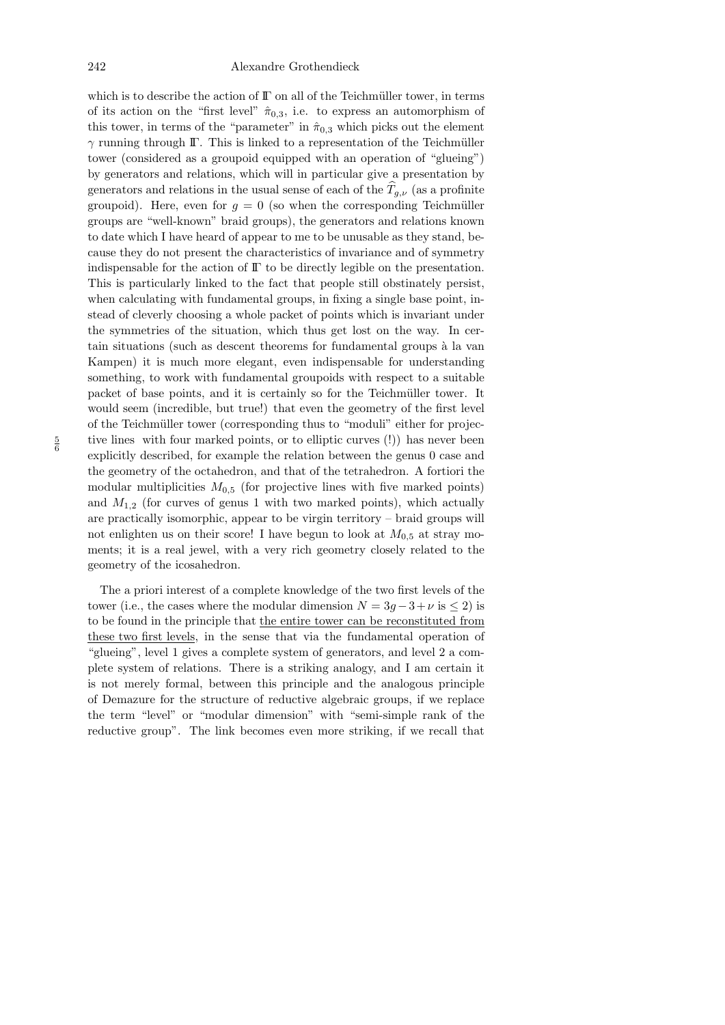which is to describe the action of  $\Gamma$  on all of the Teichmüller tower, in terms of its action on the "first level"  $\hat{\pi}_{0,3}$ , i.e. to express an automorphism of this tower, in terms of the "parameter" in  $\hat{\pi}_{0,3}$  which picks out the element  $\gamma$  running through IF. This is linked to a representation of the Teichmüller tower (considered as a groupoid equipped with an operation of "glueing") by generators and relations, which will in particular give a presentation by generators and relations in the usual sense of each of the  $\widehat{T}_{q,\nu}$  (as a profinite groupoid). Here, even for  $g = 0$  (so when the corresponding Teichmüller groups are "well-known" braid groups), the generators and relations known to date which I have heard of appear to me to be unusable as they stand, because they do not present the characteristics of invariance and of symmetry indispensable for the action of  $\Gamma$  to be directly legible on the presentation. This is particularly linked to the fact that people still obstinately persist, when calculating with fundamental groups, in fixing a single base point, instead of cleverly choosing a whole packet of points which is invariant under the symmetries of the situation, which thus get lost on the way. In certain situations (such as descent theorems for fundamental groups à la van Kampen) it is much more elegant, even indispensable for understanding something, to work with fundamental groupoids with respect to a suitable packet of base points, and it is certainly so for the Teichm¨uller tower. It would seem (incredible, but true!) that even the geometry of the first level of the Teichmüller tower (corresponding thus to "moduli" either for projective lines with four marked points, or to elliptic curves (!)) has never been explicitly described, for example the relation between the genus 0 case and the geometry of the octahedron, and that of the tetrahedron. A fortiori the modular multiplicities  $M_{0.5}$  (for projective lines with five marked points) and  $M_{1,2}$  (for curves of genus 1 with two marked points), which actually are practically isomorphic, appear to be virgin territory – braid groups will not enlighten us on their score! I have begun to look at  $M_{0,5}$  at stray moments; it is a real jewel, with a very rich geometry closely related to the geometry of the icosahedron.

The a priori interest of a complete knowledge of the two first levels of the tower (i.e., the cases where the modular dimension  $N = 3g - 3 + \nu$  is  $\leq 2$ ) is to be found in the principle that the entire tower can be reconstituted from these two first levels, in the sense that via the fundamental operation of "glueing", level 1 gives a complete system of generators, and level 2 a complete system of relations. There is a striking analogy, and I am certain it is not merely formal, between this principle and the analogous principle of Demazure for the structure of reductive algebraic groups, if we replace the term "level" or "modular dimension" with "semi-simple rank of the reductive group". The link becomes even more striking, if we recall that

 $rac{5}{6}$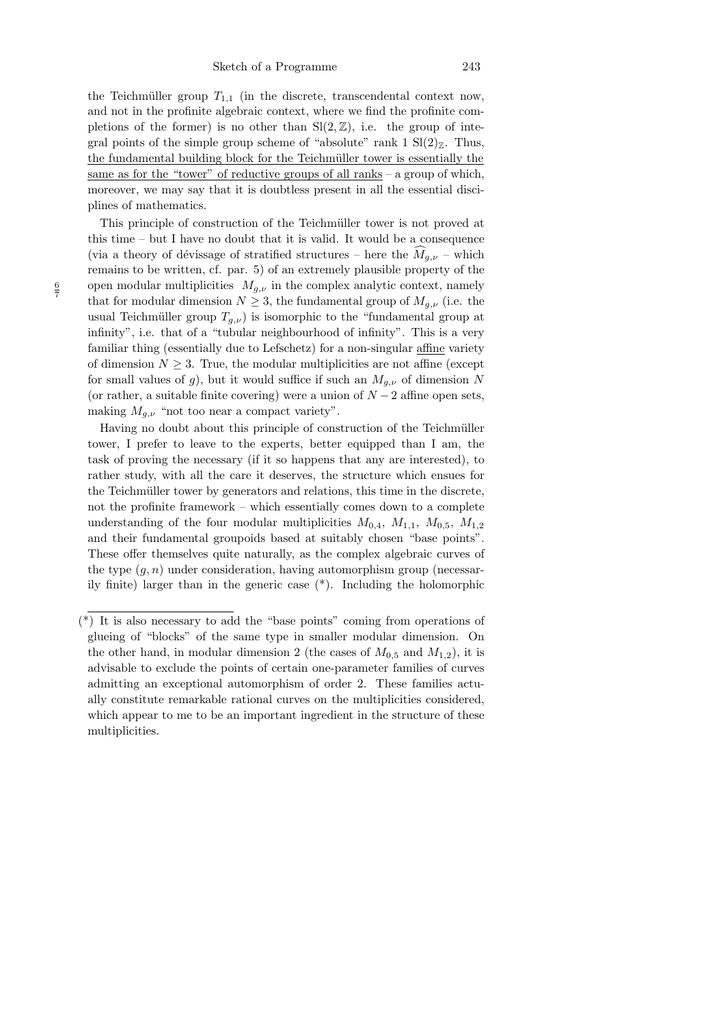the Teichmüller group  $T_{1,1}$  (in the discrete, transcendental context now, and not in the profinite algebraic context, where we find the profinite completions of the former) is no other than  $\text{Sl}(2,\mathbb{Z})$ , i.e. the group of integral points of the simple group scheme of "absolute" rank  $1 \text{ } \text{Sl}(2)_{\mathbb{Z}}$ . Thus, the fundamental building block for the Teichmüller tower is essentially the same as for the "tower" of reductive groups of all ranks – a group of which, moreover, we may say that it is doubtless present in all the essential disciplines of mathematics.

 $rac{6}{7}$ 

This principle of construction of the Teichmüller tower is not proved at this time – but I have no doubt that it is valid. It would be a consequence (via a theory of dévissage of stratified structures – here the  $M_{q,\nu}$  – which remains to be written, cf. par. 5) of an extremely plausible property of the open modular multiplicities  $M_{q,\nu}$  in the complex analytic context, namely that for modular dimension  $N \geq 3$ , the fundamental group of  $M_{q,\nu}$  (i.e. the usual Teichmüller group  $T_{q,\nu}$  is isomorphic to the "fundamental group at infinity", i.e. that of a "tubular neighbourhood of infinity". This is a very familiar thing (essentially due to Lefschetz) for a non-singular affine variety of dimension  $N \geq 3$ . True, the modular multiplicities are not affine (except for small values of g), but it would suffice if such an  $M_{q,\nu}$  of dimension N (or rather, a suitable finite covering) were a union of  $N-2$  affine open sets, making  $M_{g,\nu}$  "not too near a compact variety".

Having no doubt about this principle of construction of the Teichmüller tower, I prefer to leave to the experts, better equipped than I am, the task of proving the necessary (if it so happens that any are interested), to rather study, with all the care it deserves, the structure which ensues for the Teichmüller tower by generators and relations, this time in the discrete, not the profinite framework – which essentially comes down to a complete understanding of the four modular multiplicities  $M_{0,4}$ ,  $M_{1,1}$ ,  $M_{0,5}$ ,  $M_{1,2}$ and their fundamental groupoids based at suitably chosen "base points". These offer themselves quite naturally, as the complex algebraic curves of the type  $(g, n)$  under consideration, having automorphism group (necessarily finite) larger than in the generic case (\*). Including the holomorphic

<sup>(\*)</sup> It is also necessary to add the "base points" coming from operations of glueing of "blocks" of the same type in smaller modular dimension. On the other hand, in modular dimension 2 (the cases of  $M_{0,5}$  and  $M_{1,2}$ ), it is advisable to exclude the points of certain one-parameter families of curves admitting an exceptional automorphism of order 2. These families actually constitute remarkable rational curves on the multiplicities considered, which appear to me to be an important ingredient in the structure of these multiplicities.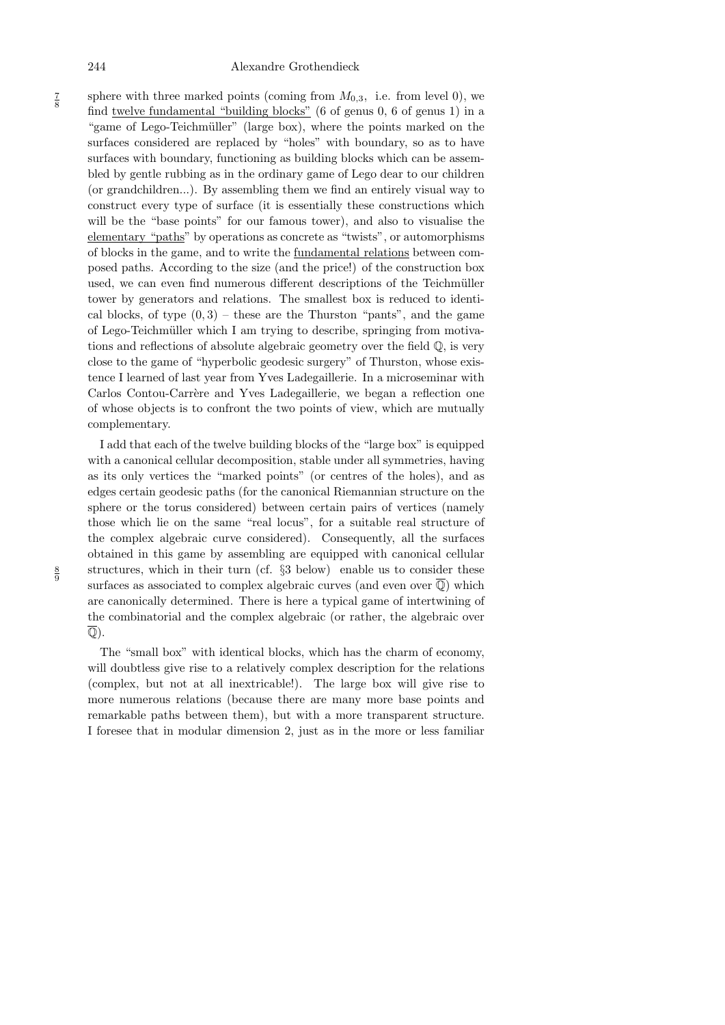$rac{7}{8}$ 

sphere with three marked points (coming from  $M_{0,3}$ , i.e. from level 0), we find twelve fundamental "building blocks" (6 of genus 0, 6 of genus 1) in a "game of Lego-Teichmüller" (large box), where the points marked on the surfaces considered are replaced by "holes" with boundary, so as to have surfaces with boundary, functioning as building blocks which can be assembled by gentle rubbing as in the ordinary game of Lego dear to our children (or grandchildren...). By assembling them we find an entirely visual way to construct every type of surface (it is essentially these constructions which will be the "base points" for our famous tower), and also to visualise the elementary "paths" by operations as concrete as "twists", or automorphisms of blocks in the game, and to write the fundamental relations between composed paths. According to the size (and the price!) of the construction box used, we can even find numerous different descriptions of the Teichmüller tower by generators and relations. The smallest box is reduced to identical blocks, of type  $(0, 3)$  – these are the Thurston "pants", and the game of Lego-Teichmüller which I am trying to describe, springing from motivations and reflections of absolute algebraic geometry over the field Q, is very close to the game of "hyperbolic geodesic surgery" of Thurston, whose existence I learned of last year from Yves Ladegaillerie. In a microseminar with Carlos Contou-Carrère and Yves Ladegaillerie, we began a reflection one of whose objects is to confront the two points of view, which are mutually complementary.

I add that each of the twelve building blocks of the "large box" is equipped with a canonical cellular decomposition, stable under all symmetries, having as its only vertices the "marked points" (or centres of the holes), and as edges certain geodesic paths (for the canonical Riemannian structure on the sphere or the torus considered) between certain pairs of vertices (namely those which lie on the same "real locus", for a suitable real structure of the complex algebraic curve considered). Consequently, all the surfaces obtained in this game by assembling are equipped with canonical cellular structures, which in their turn (cf.  $\S$ 3 below) enable us to consider these surfaces as associated to complex algebraic curves (and even over  $\overline{Q}$ ) which are canonically determined. There is here a typical game of intertwining of the combinatorial and the complex algebraic (or rather, the algebraic over  $\overline{\mathbb{Q}}$ ).

The "small box" with identical blocks, which has the charm of economy, will doubtless give rise to a relatively complex description for the relations (complex, but not at all inextricable!). The large box will give rise to more numerous relations (because there are many more base points and remarkable paths between them), but with a more transparent structure. I foresee that in modular dimension 2, just as in the more or less familiar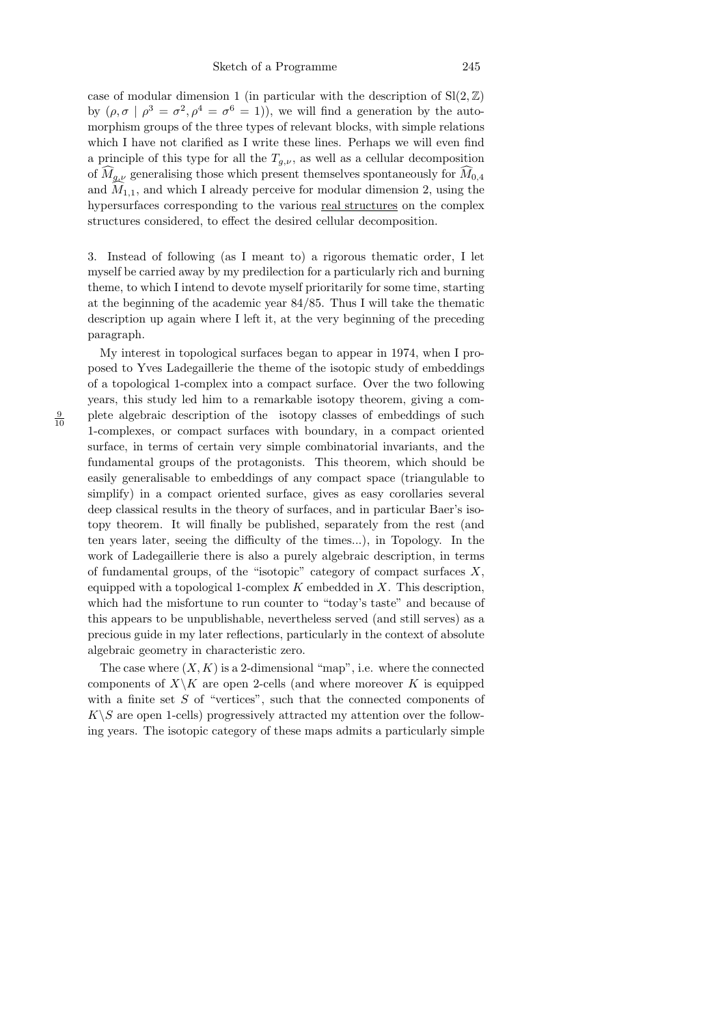case of modular dimension 1 (in particular with the description of  $\text{Sl}(2,\mathbb{Z})$ ) by  $(\rho, \sigma \mid \rho^3 = \sigma^2, \rho^4 = \sigma^6 = 1)$ , we will find a generation by the automorphism groups of the three types of relevant blocks, with simple relations which I have not clarified as I write these lines. Perhaps we will even find a principle of this type for all the  $T_{q,\nu}$ , as well as a cellular decomposition of  $M_{g,\nu}$  generalising those which present themselves spontaneously for  $M_{0,4}$ and  $M_{1,1}$ , and which I already perceive for modular dimension 2, using the hypersurfaces corresponding to the various real structures on the complex structures considered, to effect the desired cellular decomposition.

3. Instead of following (as I meant to) a rigorous thematic order, I let myself be carried away by my predilection for a particularly rich and burning theme, to which I intend to devote myself prioritarily for some time, starting at the beginning of the academic year 84/85. Thus I will take the thematic description up again where I left it, at the very beginning of the preceding paragraph.

My interest in topological surfaces began to appear in 1974, when I proposed to Yves Ladegaillerie the theme of the isotopic study of embeddings of a topological 1-complex into a compact surface. Over the two following years, this study led him to a remarkable isotopy theorem, giving a com-<sup>9</sup> plete algebraic description of the isotopy classes of embeddings of such 1-complexes, or compact surfaces with boundary, in a compact oriented surface, in terms of certain very simple combinatorial invariants, and the fundamental groups of the protagonists. This theorem, which should be easily generalisable to embeddings of any compact space (triangulable to simplify) in a compact oriented surface, gives as easy corollaries several deep classical results in the theory of surfaces, and in particular Baer's isotopy theorem. It will finally be published, separately from the rest (and ten years later, seeing the difficulty of the times...), in Topology. In the work of Ladegaillerie there is also a purely algebraic description, in terms of fundamental groups, of the "isotopic" category of compact surfaces  $X$ , equipped with a topological 1-complex K embedded in X. This description, which had the misfortune to run counter to "today's taste" and because of this appears to be unpublishable, nevertheless served (and still serves) as a precious guide in my later reflections, particularly in the context of absolute algebraic geometry in characteristic zero.

The case where  $(X, K)$  is a 2-dimensional "map", i.e. where the connected components of  $X\backslash K$  are open 2-cells (and where moreover K is equipped with a finite set  $S$  of "vertices", such that the connected components of  $K\backslash S$  are open 1-cells) progressively attracted my attention over the following years. The isotopic category of these maps admits a particularly simple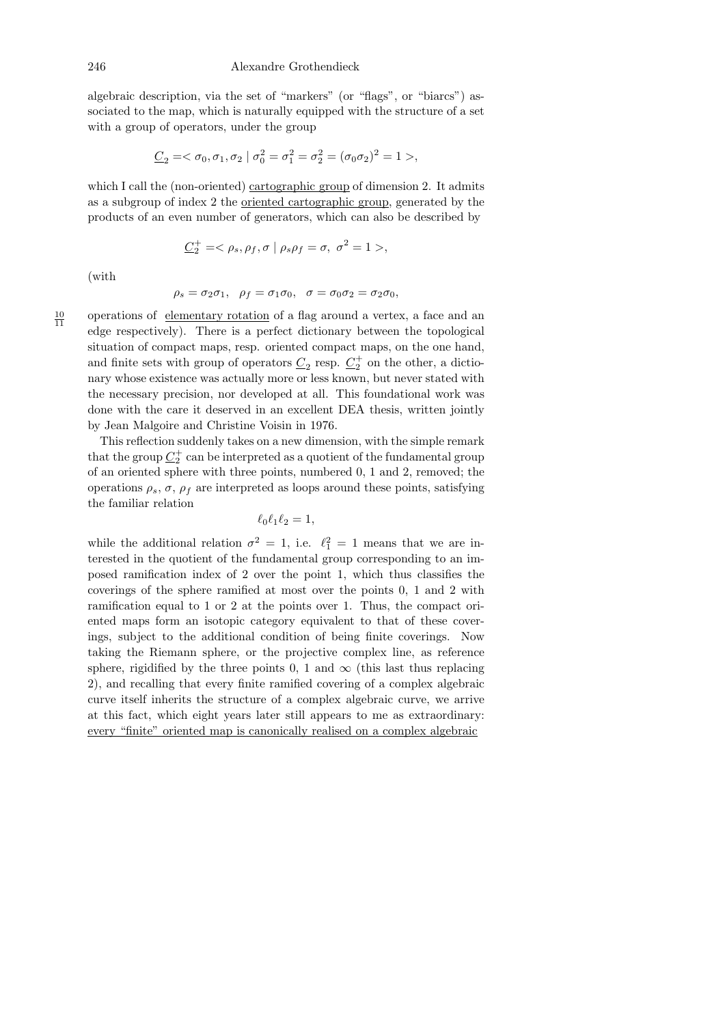algebraic description, via the set of "markers" (or "flags", or "biarcs") associated to the map, which is naturally equipped with the structure of a set with a group of operators, under the group

$$
\underline{C}_2 = \langle \sigma_0, \sigma_1, \sigma_2 | \sigma_0^2 = \sigma_1^2 = \sigma_2^2 = (\sigma_0 \sigma_2)^2 = 1 \rangle,
$$

which I call the (non-oriented) cartographic group of dimension 2. It admits as a subgroup of index 2 the oriented cartographic group, generated by the products of an even number of generators, which can also be described by

$$
\underline{C}_2^+ = \langle \rho_s, \rho_f, \sigma \mid \rho_s \rho_f = \sigma, \sigma^2 = 1 \rangle,
$$

(with

$$
\rho_s = \sigma_2 \sigma_1, \quad \rho_f = \sigma_1 \sigma_0, \quad \sigma = \sigma_0 \sigma_2 = \sigma_2 \sigma_0,
$$

 $\frac{10}{11}$  operations of <u>elementary rotation</u> of a flag around a vertex, a face and an edge respectively). There is a perfect dictionary between the topological situation of compact maps, resp. oriented compact maps, on the one hand, and finite sets with group of operators  $\underline{C}_2$  resp.  $\underline{C}_2^+$  $_2^+$  on the other, a dictionary whose existence was actually more or less known, but never stated with the necessary precision, nor developed at all. This foundational work was done with the care it deserved in an excellent DEA thesis, written jointly by Jean Malgoire and Christine Voisin in 1976.

This reflection suddenly takes on a new dimension, with the simple remark that the group  $\underline{C}_2^+$  $_2^+$  can be interpreted as a quotient of the fundamental group of an oriented sphere with three points, numbered 0, 1 and 2, removed; the operations  $\rho_s$ ,  $\sigma$ ,  $\rho_f$  are interpreted as loops around these points, satisfying the familiar relation

$$
\ell_0 \ell_1 \ell_2 = 1,
$$

while the additional relation  $\sigma^2 = 1$ , i.e.  $\ell_1^2 = 1$  means that we are interested in the quotient of the fundamental group corresponding to an imposed ramification index of 2 over the point 1, which thus classifies the coverings of the sphere ramified at most over the points 0, 1 and 2 with ramification equal to 1 or 2 at the points over 1. Thus, the compact oriented maps form an isotopic category equivalent to that of these coverings, subject to the additional condition of being finite coverings. Now taking the Riemann sphere, or the projective complex line, as reference sphere, rigidified by the three points 0, 1 and  $\infty$  (this last thus replacing 2), and recalling that every finite ramified covering of a complex algebraic curve itself inherits the structure of a complex algebraic curve, we arrive at this fact, which eight years later still appears to me as extraordinary: every "finite" oriented map is canonically realised on a complex algebraic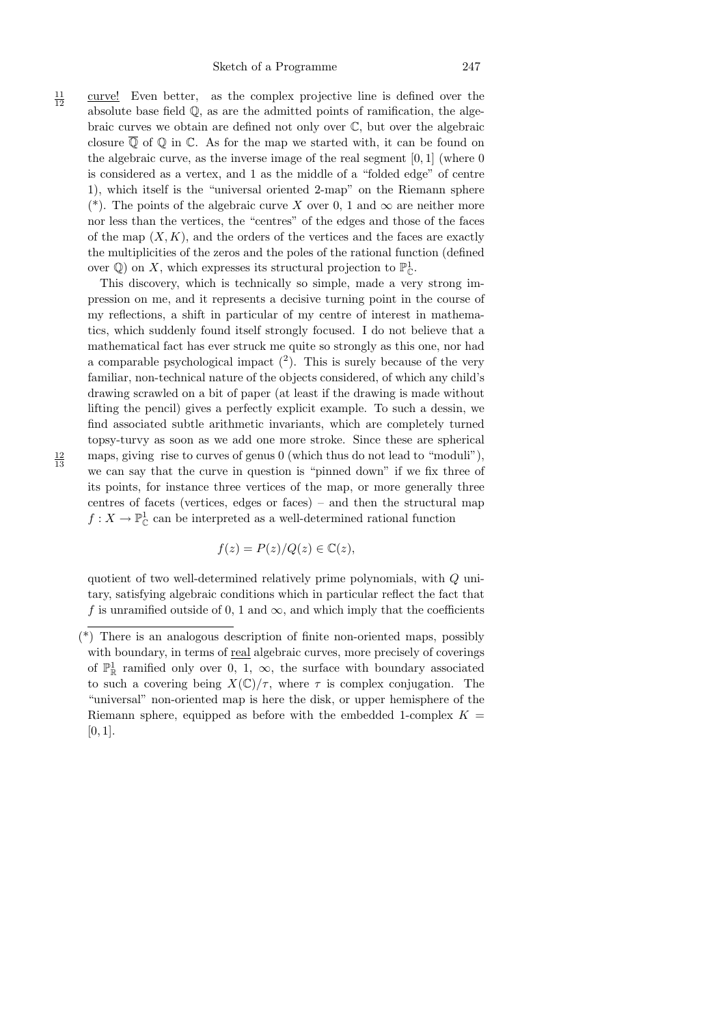curve! Even better, as the complex projective line is defined over the absolute base field Q, as are the admitted points of ramification, the algebraic curves we obtain are defined not only over C, but over the algebraic closure  $\overline{\mathbb{Q}}$  of  $\mathbb{Q}$  in  $\mathbb{C}$ . As for the map we started with, it can be found on the algebraic curve, as the inverse image of the real segment  $[0, 1]$  (where  $0$ is considered as a vertex, and 1 as the middle of a "folded edge" of centre 1), which itself is the "universal oriented 2-map" on the Riemann sphere (\*). The points of the algebraic curve X over 0, 1 and  $\infty$  are neither more nor less than the vertices, the "centres" of the edges and those of the faces of the map  $(X, K)$ , and the orders of the vertices and the faces are exactly the multiplicities of the zeros and the poles of the rational function (defined over  $\mathbb{Q}$ ) on X, which expresses its structural projection to  $\mathbb{P}^1_{\mathbb{C}}$ .

This discovery, which is technically so simple, made a very strong impression on me, and it represents a decisive turning point in the course of my reflections, a shift in particular of my centre of interest in mathematics, which suddenly found itself strongly focused. I do not believe that a mathematical fact has ever struck me quite so strongly as this one, nor had a comparable psychological impact  $(2)$ . This is surely because of the very familiar, non-technical nature of the objects considered, of which any child's drawing scrawled on a bit of paper (at least if the drawing is made without lifting the pencil) gives a perfectly explicit example. To such a dessin, we find associated subtle arithmetic invariants, which are completely turned topsy-turvy as soon as we add one more stroke. Since these are spherical  $\frac{12}{13}$  maps, giving rise to curves of genus 0 (which thus do not lead to "moduli"), we can say that the curve in question is "pinned down" if we fix three of its points, for instance three vertices of the map, or more generally three centres of facets (vertices, edges or faces) – and then the structural map  $f: X \to \mathbb{P}^1_{\mathbb{C}}$  can be interpreted as a well-determined rational function

$$
f(z) = P(z)/Q(z) \in \mathbb{C}(z),
$$

quotient of two well-determined relatively prime polynomials, with Q unitary, satisfying algebraic conditions which in particular reflect the fact that f is unramified outside of 0, 1 and  $\infty$ , and which imply that the coefficients

 $\frac{11}{12}$ 

<sup>(\*)</sup> There is an analogous description of finite non-oriented maps, possibly with boundary, in terms of real algebraic curves, more precisely of coverings of  $\mathbb{P}^1_{\mathbb{R}}$  ramified only over 0, 1,  $\infty$ , the surface with boundary associated to such a covering being  $X(\mathbb{C})/\tau$ , where  $\tau$  is complex conjugation. The "universal" non-oriented map is here the disk, or upper hemisphere of the Riemann sphere, equipped as before with the embedded 1-complex  $K =$  $[0, 1].$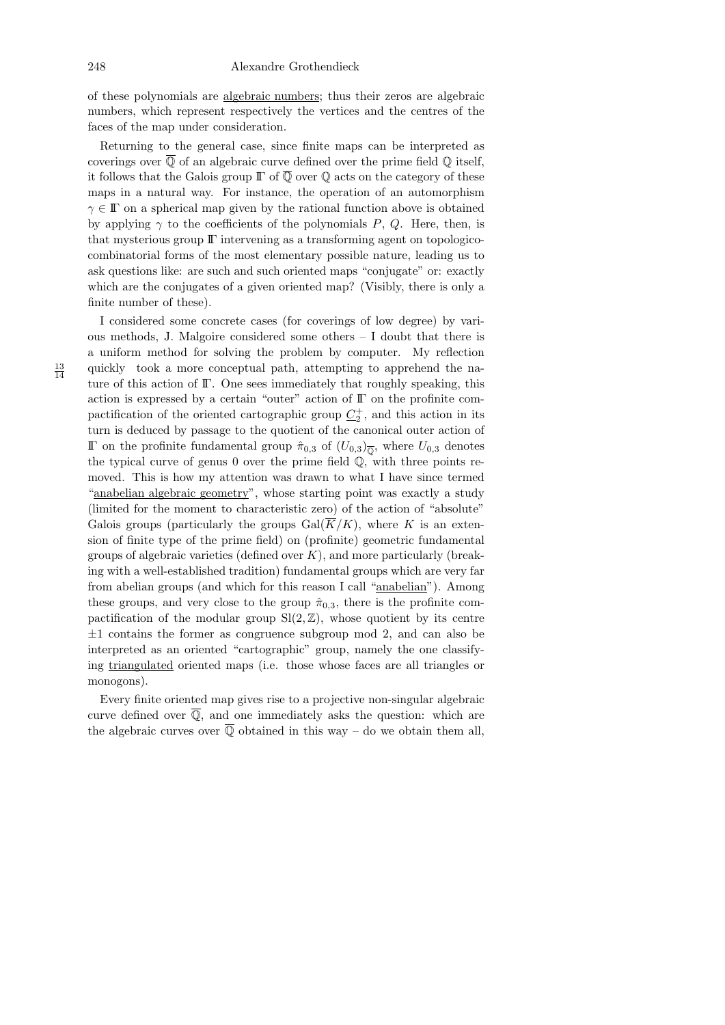of these polynomials are algebraic numbers; thus their zeros are algebraic numbers, which represent respectively the vertices and the centres of the faces of the map under consideration.

Returning to the general case, since finite maps can be interpreted as coverings over  $\overline{Q}$  of an algebraic curve defined over the prime field  $Q$  itself, it follows that the Galois group  $\Gamma$  of  $\overline{\mathbb{Q}}$  over  $\mathbb{Q}$  acts on the category of these maps in a natural way. For instance, the operation of an automorphism  $\gamma \in \Gamma$  on a spherical map given by the rational function above is obtained by applying  $\gamma$  to the coefficients of the polynomials P, Q. Here, then, is that mysterious group  $\Gamma$  intervening as a transforming agent on topologicocombinatorial forms of the most elementary possible nature, leading us to ask questions like: are such and such oriented maps "conjugate" or: exactly which are the conjugates of a given oriented map? (Visibly, there is only a finite number of these).

I considered some concrete cases (for coverings of low degree) by various methods, J. Malgoire considered some others – I doubt that there is a uniform method for solving the problem by computer. My reflection quickly took a more conceptual path, attempting to apprehend the nature of this action of IΓ. One sees immediately that roughly speaking, this action is expressed by a certain "outer" action of IΓ on the profinite compactification of the oriented cartographic group  $\underline{C}_2^+$  $x_2^+$ , and this action in its turn is deduced by passage to the quotient of the canonical outer action of  $\Gamma$  on the profinite fundamental group  $\hat{\pi}_{0,3}$  of  $(U_{0,3})_{\overline{\mathbb{Q}}}$ , where  $U_{0,3}$  denotes the typical curve of genus  $0$  over the prime field  $\mathbb{Q}$ , with three points removed. This is how my attention was drawn to what I have since termed "anabelian algebraic geometry", whose starting point was exactly a study (limited for the moment to characteristic zero) of the action of "absolute" Galois groups (particularly the groups  $Gal(\overline{K}/K)$ , where K is an extension of finite type of the prime field) on (profinite) geometric fundamental groups of algebraic varieties (defined over  $K$ ), and more particularly (breaking with a well-established tradition) fundamental groups which are very far from abelian groups (and which for this reason I call "anabelian"). Among these groups, and very close to the group  $\hat{\pi}_{0,3}$ , there is the profinite compactification of the modular group  $\text{Sl}(2,\mathbb{Z})$ , whose quotient by its centre  $\pm 1$  contains the former as congruence subgroup mod 2, and can also be interpreted as an oriented "cartographic" group, namely the one classifying triangulated oriented maps (i.e. those whose faces are all triangles or monogons).

Every finite oriented map gives rise to a projective non-singular algebraic curve defined over  $\overline{Q}$ , and one immediately asks the question: which are the algebraic curves over  $\overline{\mathbb{Q}}$  obtained in this way – do we obtain them all,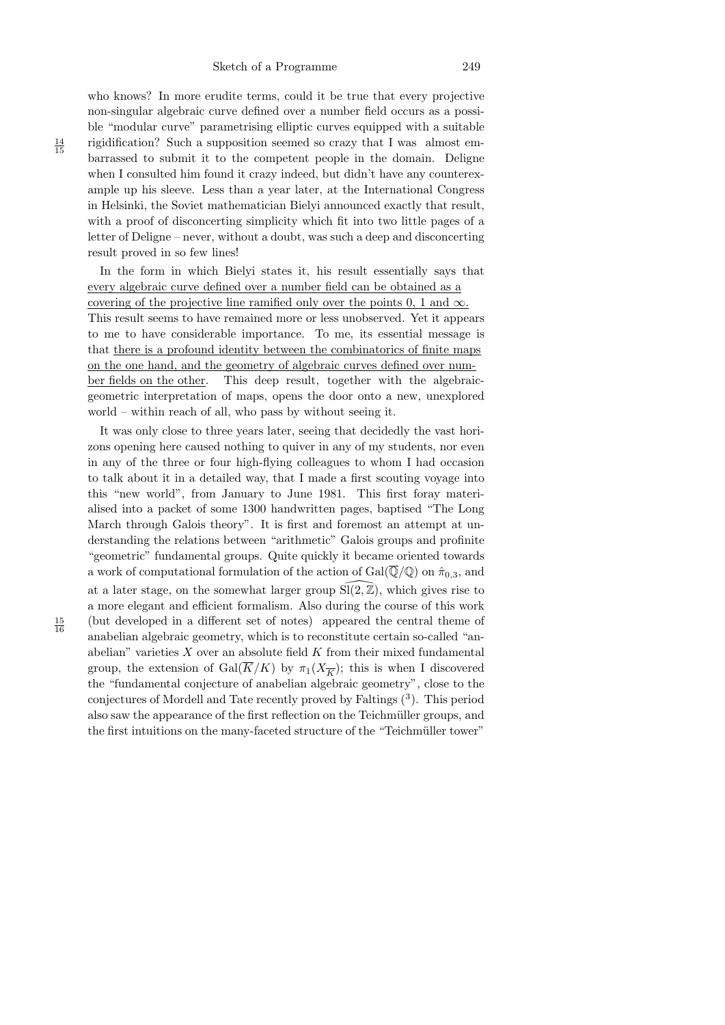who knows? In more erudite terms, could it be true that every projective non-singular algebraic curve defined over a number field occurs as a possible "modular curve" parametrising elliptic curves equipped with a suitable rigidification? Such a supposition seemed so crazy that I was almost embarrassed to submit it to the competent people in the domain. Deligne when I consulted him found it crazy indeed, but didn't have any counterexample up his sleeve. Less than a year later, at the International Congress in Helsinki, the Soviet mathematician Bielyi announced exactly that result, with a proof of disconcerting simplicity which fit into two little pages of a letter of Deligne – never, without a doubt, was such a deep and disconcerting result proved in so few lines!

In the form in which Bielyi states it, his result essentially says that every algebraic curve defined over a number field can be obtained as a covering of the projective line ramified only over the points 0, 1 and  $\infty$ . This result seems to have remained more or less unobserved. Yet it appears to me to have considerable importance. To me, its essential message is that there is a profound identity between the combinatorics of finite maps on the one hand, and the geometry of algebraic curves defined over number fields on the other. This deep result, together with the algebraicgeometric interpretation of maps, opens the door onto a new, unexplored world – within reach of all, who pass by without seeing it.

It was only close to three years later, seeing that decidedly the vast horizons opening here caused nothing to quiver in any of my students, nor even in any of the three or four high-flying colleagues to whom I had occasion to talk about it in a detailed way, that I made a first scouting voyage into this "new world", from January to June 1981. This first foray materialised into a packet of some 1300 handwritten pages, baptised "The Long March through Galois theory". It is first and foremost an attempt at understanding the relations between "arithmetic" Galois groups and profinite "geometric" fundamental groups. Quite quickly it became oriented towards a work of computational formulation of the action of  $Gal(\overline{\mathbb{Q}}/\mathbb{Q})$  on  $\hat{\pi}_{0,3}$ , and at a later stage, on the somewhat larger group  $\widetilde{Sl}(2,\mathbb{Z})$ , which gives rise to a more elegant and efficient formalism. Also during the course of this work <sup>15</sup> (but developed in a different set of notes) appeared the central theme of anabelian algebraic geometry, which is to reconstitute certain so-called "anabelian" varieties  $X$  over an absolute field  $K$  from their mixed fundamental group, the extension of Gal( $\overline{K}/K$ ) by  $\pi_1(X_{\overline{K}})$ ; this is when I discovered the "fundamental conjecture of anabelian algebraic geometry", close to the conjectures of Mordell and Tate recently proved by Faltings  $(3)$ . This period also saw the appearance of the first reflection on the Teichmüller groups, and the first intuitions on the many-faceted structure of the "Teichmüller tower"

 $\frac{15}{16}$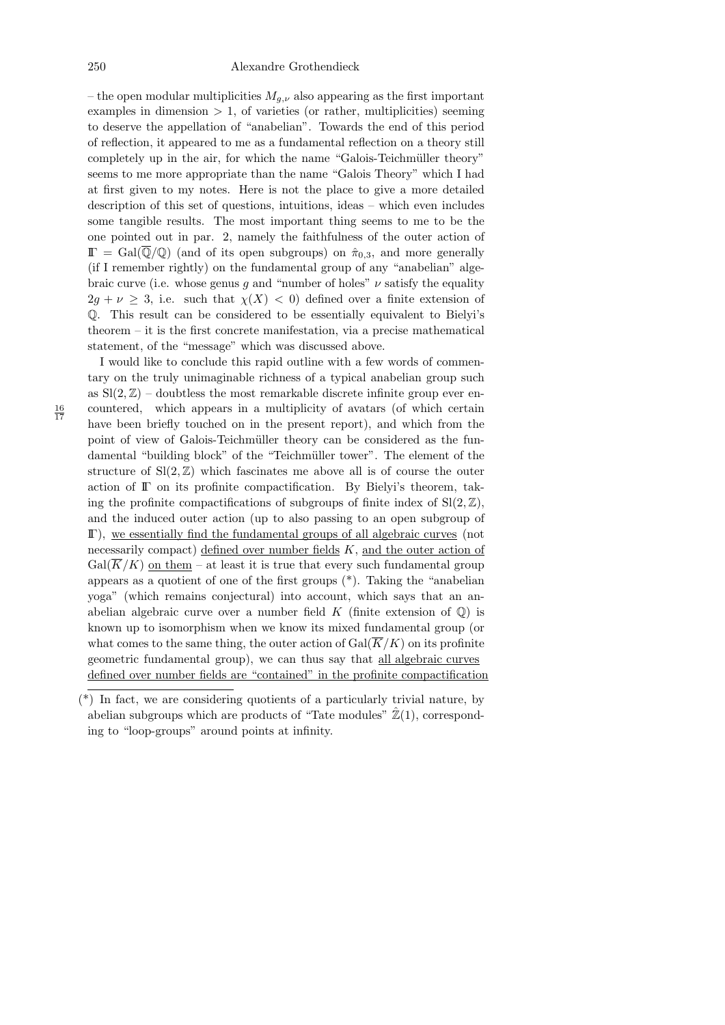– the open modular multiplicities  $M_{q,\nu}$  also appearing as the first important examples in dimension  $> 1$ , of varieties (or rather, multiplicities) seeming to deserve the appellation of "anabelian". Towards the end of this period of reflection, it appeared to me as a fundamental reflection on a theory still completely up in the air, for which the name "Galois-Teichmüller theory" seems to me more appropriate than the name "Galois Theory" which I had at first given to my notes. Here is not the place to give a more detailed description of this set of questions, intuitions, ideas – which even includes some tangible results. The most important thing seems to me to be the one pointed out in par. 2, namely the faithfulness of the outer action of  $\mathbb{\Gamma} = \text{Gal}(\overline{\mathbb{Q}}/\mathbb{Q})$  (and of its open subgroups) on  $\hat{\pi}_{0,3}$ , and more generally (if I remember rightly) on the fundamental group of any "anabelian" algebraic curve (i.e. whose genus q and "number of holes"  $\nu$  satisfy the equality  $2g + \nu \geq 3$ , i.e. such that  $\chi(X) < 0$  defined over a finite extension of Q. This result can be considered to be essentially equivalent to Bielyi's theorem – it is the first concrete manifestation, via a precise mathematical statement, of the "message" which was discussed above.

I would like to conclude this rapid outline with a few words of commentary on the truly unimaginable richness of a typical anabelian group such as  $\text{Sl}(2,\mathbb{Z})$  – doubtless the most remarkable discrete infinite group ever en- $\frac{16}{17}$  countered, which appears in a multiplicity of avatars (of which certain have been briefly touched on in the present report), and which from the point of view of Galois-Teichmüller theory can be considered as the fundamental "building block" of the "Teichmüller tower". The element of the structure of  $\text{SI}(2,\mathbb{Z})$  which fascinates me above all is of course the outer action of IΓ on its profinite compactification. By Bielyi's theorem, taking the profinite compactifications of subgroups of finite index of  $\text{Sl}(2,\mathbb{Z})$ , and the induced outer action (up to also passing to an open subgroup of IΓ), we essentially find the fundamental groups of all algebraic curves (not necessarily compact) defined over number fields  $K$ , and the outer action of  $Gal(\overline{K}/K)$  on them – at least it is true that every such fundamental group appears as a quotient of one of the first groups (\*). Taking the "anabelian yoga" (which remains conjectural) into account, which says that an anabelian algebraic curve over a number field K (finite extension of  $\mathbb{Q}$ ) is known up to isomorphism when we know its mixed fundamental group (or what comes to the same thing, the outer action of  $Gal(\overline{K}/K)$  on its profinite geometric fundamental group), we can thus say that all algebraic curves defined over number fields are "contained" in the profinite compactification

<sup>(\*)</sup> In fact, we are considering quotients of a particularly trivial nature, by abelian subgroups which are products of "Tate modules"  $\mathbb{Z}(1)$ , corresponding to "loop-groups" around points at infinity.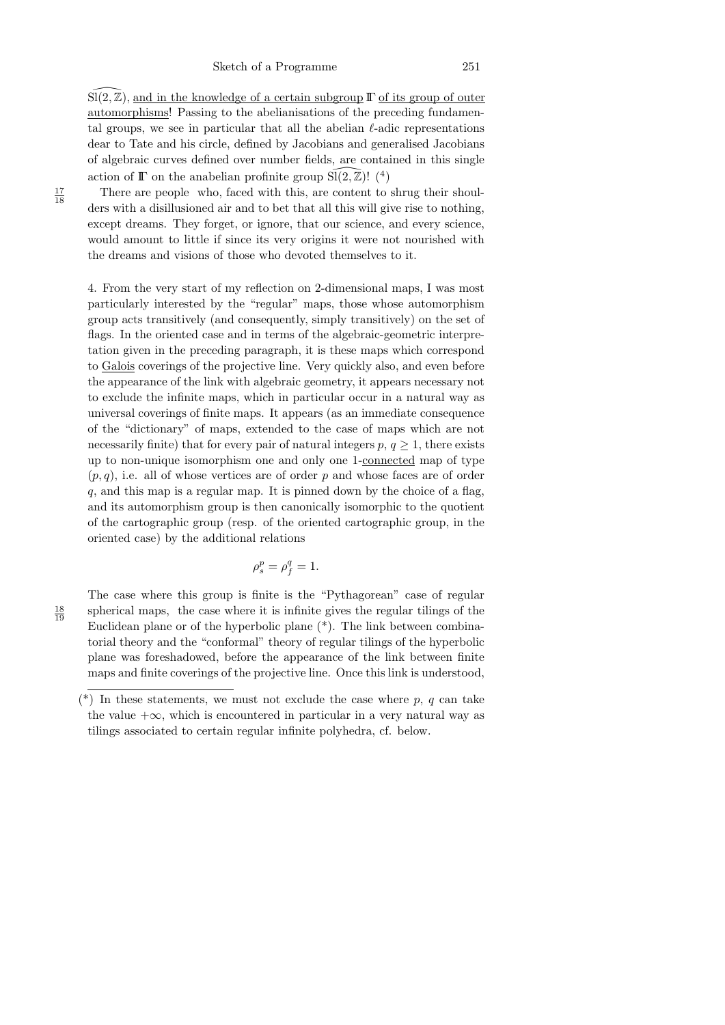$\widetilde{\mathrm{SI}}(2,\mathbb{Z})$ , and in the knowledge of a certain subgroup  $\Gamma$  of its group of outer automorphisms! Passing to the abelianisations of the preceding fundamental groups, we see in particular that all the abelian  $\ell$ -adic representations dear to Tate and his circle, defined by Jacobians and generalised Jacobians of algebraic curves defined over number fields, are contained in this single action of  $\Gamma$  on the anabelian profinite group  $\widehat{sl(2,\mathbb{Z})}$ ! (4)

There are people who, faced with this, are content to shrug their shoulders with a disillusioned air and to bet that all this will give rise to nothing, except dreams. They forget, or ignore, that our science, and every science, would amount to little if since its very origins it were not nourished with the dreams and visions of those who devoted themselves to it.

4. From the very start of my reflection on 2-dimensional maps, I was most particularly interested by the "regular" maps, those whose automorphism group acts transitively (and consequently, simply transitively) on the set of flags. In the oriented case and in terms of the algebraic-geometric interpretation given in the preceding paragraph, it is these maps which correspond to Galois coverings of the projective line. Very quickly also, and even before the appearance of the link with algebraic geometry, it appears necessary not to exclude the infinite maps, which in particular occur in a natural way as universal coverings of finite maps. It appears (as an immediate consequence of the "dictionary" of maps, extended to the case of maps which are not necessarily finite) that for every pair of natural integers  $p, q \geq 1$ , there exists up to non-unique isomorphism one and only one 1-connected map of type  $(p, q)$ , i.e. all of whose vertices are of order p and whose faces are of order q, and this map is a regular map. It is pinned down by the choice of a flag, and its automorphism group is then canonically isomorphic to the quotient of the cartographic group (resp. of the oriented cartographic group, in the oriented case) by the additional relations

$$
\rho_s^p = \rho_f^q = 1.
$$

 $\frac{18}{19}$ 

The case where this group is finite is the "Pythagorean" case of regular spherical maps, the case where it is infinite gives the regular tilings of the Euclidean plane or of the hyperbolic plane (\*). The link between combinatorial theory and the "conformal" theory of regular tilings of the hyperbolic plane was foreshadowed, before the appearance of the link between finite maps and finite coverings of the projective line. Once this link is understood,

<sup>(\*)</sup> In these statements, we must not exclude the case where  $p, q$  can take the value  $+\infty$ , which is encountered in particular in a very natural way as tilings associated to certain regular infinite polyhedra, cf. below.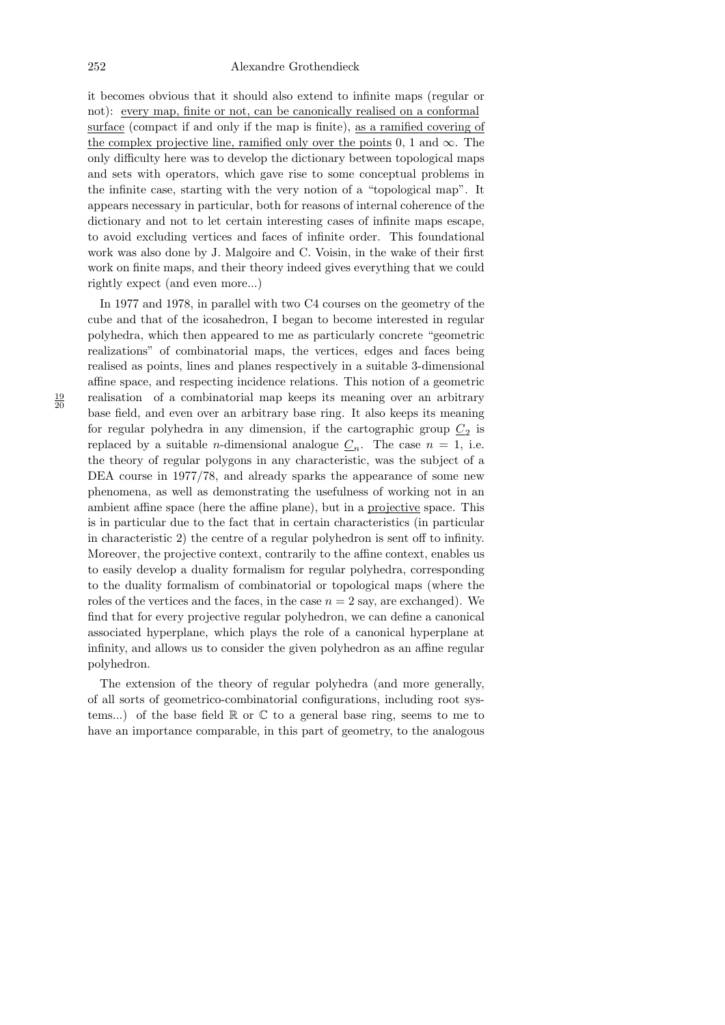it becomes obvious that it should also extend to infinite maps (regular or not): every map, finite or not, can be canonically realised on a conformal surface (compact if and only if the map is finite), as a ramified covering of the complex projective line, ramified only over the points 0, 1 and  $\infty$ . The only difficulty here was to develop the dictionary between topological maps and sets with operators, which gave rise to some conceptual problems in the infinite case, starting with the very notion of a "topological map". It appears necessary in particular, both for reasons of internal coherence of the dictionary and not to let certain interesting cases of infinite maps escape, to avoid excluding vertices and faces of infinite order. This foundational work was also done by J. Malgoire and C. Voisin, in the wake of their first work on finite maps, and their theory indeed gives everything that we could rightly expect (and even more...)

In 1977 and 1978, in parallel with two C4 courses on the geometry of the cube and that of the icosahedron, I began to become interested in regular polyhedra, which then appeared to me as particularly concrete "geometric realizations" of combinatorial maps, the vertices, edges and faces being realised as points, lines and planes respectively in a suitable 3-dimensional affine space, and respecting incidence relations. This notion of a geometric <sup>19</sup> realisation of a combinatorial map keeps its meaning over an arbitrary base field, and even over an arbitrary base ring. It also keeps its meaning for regular polyhedra in any dimension, if the cartographic group  $\underline{C}_2$  is replaced by a suitable *n*-dimensional analogue  $\underline{C}_n$ . The case  $n = 1$ , i.e. the theory of regular polygons in any characteristic, was the subject of a DEA course in  $1977/78$ , and already sparks the appearance of some new phenomena, as well as demonstrating the usefulness of working not in an ambient affine space (here the affine plane), but in a projective space. This is in particular due to the fact that in certain characteristics (in particular in characteristic 2) the centre of a regular polyhedron is sent off to infinity. Moreover, the projective context, contrarily to the affine context, enables us to easily develop a duality formalism for regular polyhedra, corresponding to the duality formalism of combinatorial or topological maps (where the roles of the vertices and the faces, in the case  $n = 2$  say, are exchanged). We find that for every projective regular polyhedron, we can define a canonical associated hyperplane, which plays the role of a canonical hyperplane at infinity, and allows us to consider the given polyhedron as an affine regular polyhedron.

The extension of the theory of regular polyhedra (and more generally, of all sorts of geometrico-combinatorial configurations, including root systems...) of the base field  $\mathbb R$  or  $\mathbb C$  to a general base ring, seems to me to have an importance comparable, in this part of geometry, to the analogous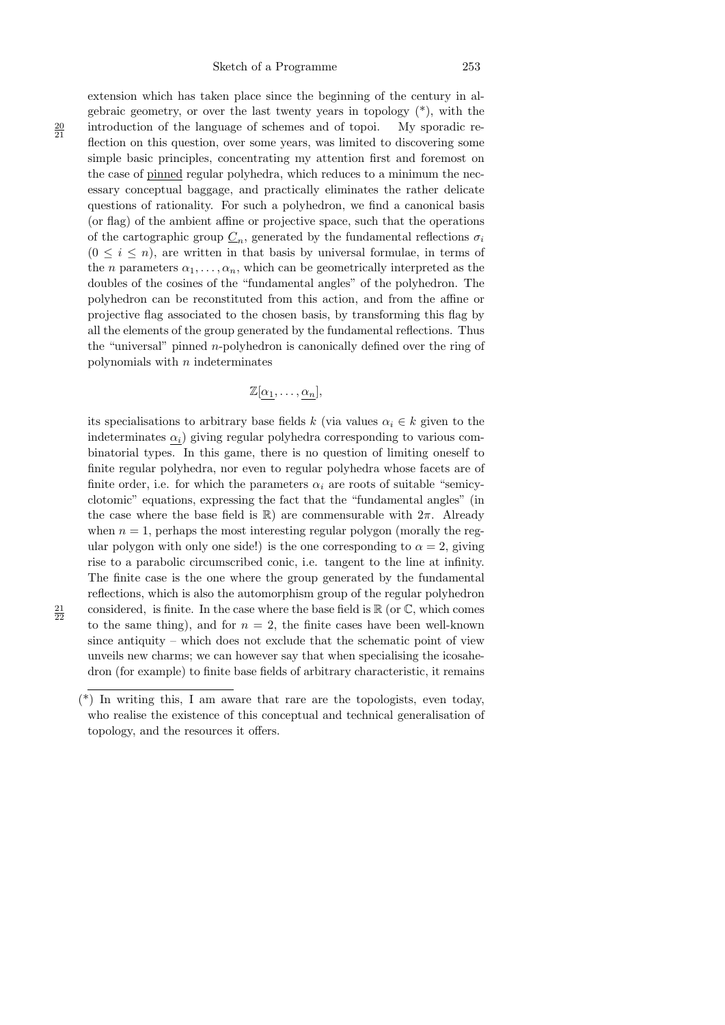extension which has taken place since the beginning of the century in algebraic geometry, or over the last twenty years in topology  $(*)$ , with the introduction of the language of schemes and of topoi. My sporadic reflection on this question, over some years, was limited to discovering some simple basic principles, concentrating my attention first and foremost on the case of pinned regular polyhedra, which reduces to a minimum the necessary conceptual baggage, and practically eliminates the rather delicate questions of rationality. For such a polyhedron, we find a canonical basis (or flag) of the ambient affine or projective space, such that the operations of the cartographic group  $\underline{C}_n$ , generated by the fundamental reflections  $\sigma_i$  $(0 \leq i \leq n)$ , are written in that basis by universal formulae, in terms of the *n* parameters  $\alpha_1, \ldots, \alpha_n$ , which can be geometrically interpreted as the doubles of the cosines of the "fundamental angles" of the polyhedron. The polyhedron can be reconstituted from this action, and from the affine or projective flag associated to the chosen basis, by transforming this flag by all the elements of the group generated by the fundamental reflections. Thus the "universal" pinned  $n$ -polyhedron is canonically defined over the ring of polynomials with  $n$  indeterminates

$$
\mathbb{Z}[\underline{\alpha_1},\ldots,\underline{\alpha_n}],
$$

its specialisations to arbitrary base fields k (via values  $\alpha_i \in k$  given to the indeterminates  $\alpha_i$ ) giving regular polyhedra corresponding to various combinatorial types. In this game, there is no question of limiting oneself to finite regular polyhedra, nor even to regular polyhedra whose facets are of finite order, i.e. for which the parameters  $\alpha_i$  are roots of suitable "semicyclotomic" equations, expressing the fact that the "fundamental angles" (in the case where the base field is  $\mathbb{R}$ ) are commensurable with  $2\pi$ . Already when  $n = 1$ , perhaps the most interesting regular polygon (morally the regular polygon with only one side!) is the one corresponding to  $\alpha = 2$ , giving rise to a parabolic circumscribed conic, i.e. tangent to the line at infinity. The finite case is the one where the group generated by the fundamental reflections, which is also the automorphism group of the regular polyhedron 21 considered, is finite. In the case where the base field is  $\mathbb{R}$  (or  $\mathbb{C}$ , which comes to the same thing), and for  $n = 2$ , the finite cases have been well-known since antiquity – which does not exclude that the schematic point of view unveils new charms; we can however say that when specialising the icosahedron (for example) to finite base fields of arbitrary characteristic, it remains

<sup>(\*)</sup> In writing this, I am aware that rare are the topologists, even today, who realise the existence of this conceptual and technical generalisation of topology, and the resources it offers.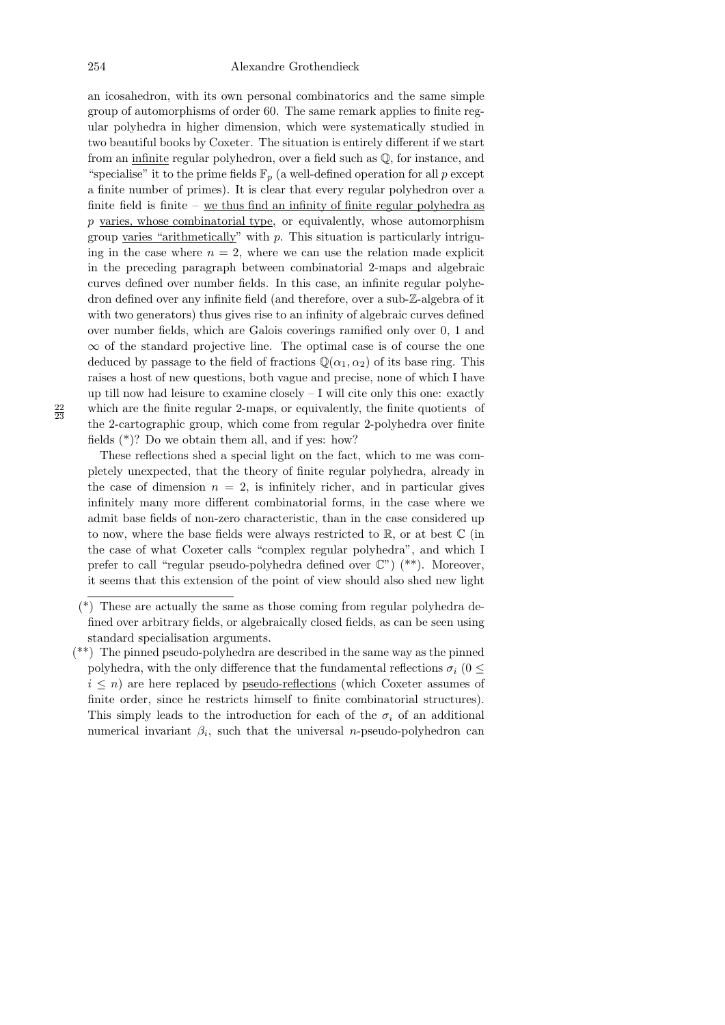an icosahedron, with its own personal combinatorics and the same simple group of automorphisms of order 60. The same remark applies to finite regular polyhedra in higher dimension, which were systematically studied in two beautiful books by Coxeter. The situation is entirely different if we start from an infinite regular polyhedron, over a field such as Q, for instance, and "specialise" it to the prime fields  $\mathbb{F}_p$  (a well-defined operation for all p except a finite number of primes). It is clear that every regular polyhedron over a finite field is finite – we thus find an infinity of finite regular polyhedra as  $p$  varies, whose combinatorial type, or equivalently, whose automorphism group varies "arithmetically" with  $p$ . This situation is particularly intriguing in the case where  $n = 2$ , where we can use the relation made explicit in the preceding paragraph between combinatorial 2-maps and algebraic curves defined over number fields. In this case, an infinite regular polyhedron defined over any infinite field (and therefore, over a sub-Z-algebra of it with two generators) thus gives rise to an infinity of algebraic curves defined over number fields, which are Galois coverings ramified only over 0, 1 and  $\infty$  of the standard projective line. The optimal case is of course the one deduced by passage to the field of fractions  $\mathbb{Q}(\alpha_1, \alpha_2)$  of its base ring. This raises a host of new questions, both vague and precise, none of which I have up till now had leisure to examine closely  $-I$  will cite only this one: exactly which are the finite regular 2-maps, or equivalently, the finite quotients of the 2-cartographic group, which come from regular 2-polyhedra over finite fields  $(*)$ ? Do we obtain them all, and if yes: how?

These reflections shed a special light on the fact, which to me was completely unexpected, that the theory of finite regular polyhedra, already in the case of dimension  $n = 2$ , is infinitely richer, and in particular gives infinitely many more different combinatorial forms, in the case where we admit base fields of non-zero characteristic, than in the case considered up to now, where the base fields were always restricted to  $\mathbb{R}$ , or at best  $\mathbb{C}$  (in the case of what Coxeter calls "complex regular polyhedra", and which I prefer to call "regular pseudo-polyhedra defined over C") (\*\*). Moreover, it seems that this extension of the point of view should also shed new light

<sup>(\*)</sup> These are actually the same as those coming from regular polyhedra defined over arbitrary fields, or algebraically closed fields, as can be seen using standard specialisation arguments.

<sup>(\*\*)</sup> The pinned pseudo-polyhedra are described in the same way as the pinned polyhedra, with the only difference that the fundamental reflections  $\sigma_i$  (0  $\leq$  $i \leq n$ ) are here replaced by <u>pseudo-reflections</u> (which Coxeter assumes of finite order, since he restricts himself to finite combinatorial structures). This simply leads to the introduction for each of the  $\sigma_i$  of an additional numerical invariant  $\beta_i$ , such that the universal *n*-pseudo-polyhedron can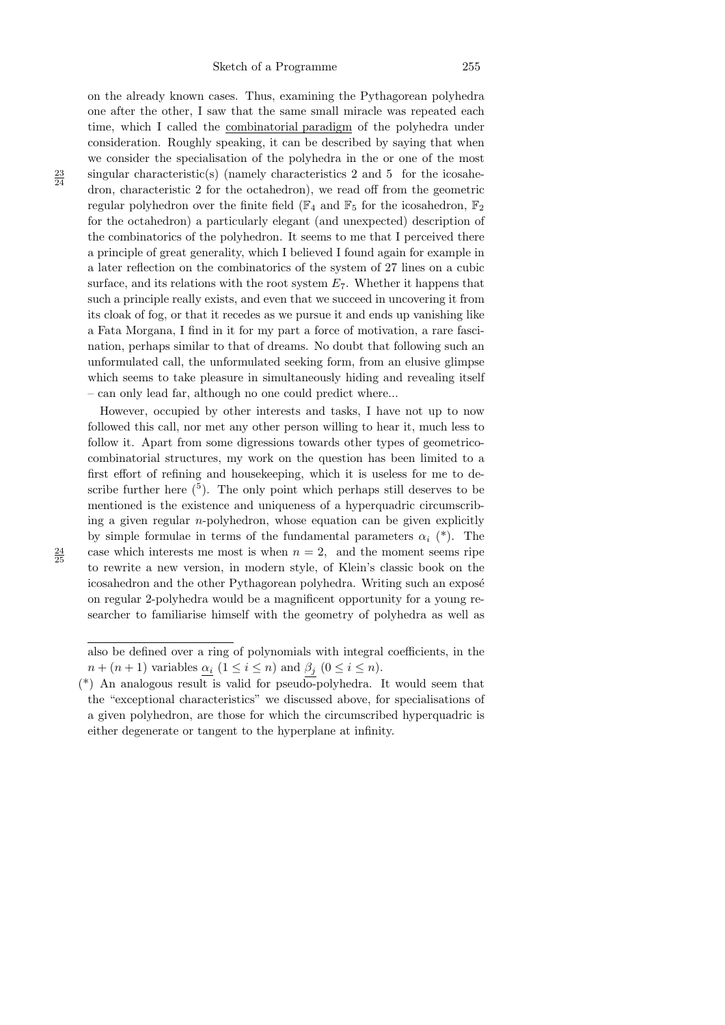on the already known cases. Thus, examining the Pythagorean polyhedra one after the other, I saw that the same small miracle was repeated each time, which I called the combinatorial paradigm of the polyhedra under consideration. Roughly speaking, it can be described by saying that when we consider the specialisation of the polyhedra in the or one of the most  $\frac{23}{24}$  singular characteristic(s) (namely characteristics 2 and 5 for the icosahedron, characteristic 2 for the octahedron), we read off from the geometric regular polyhedron over the finite field ( $\mathbb{F}_4$  and  $\mathbb{F}_5$  for the icosahedron,  $\mathbb{F}_2$ for the octahedron) a particularly elegant (and unexpected) description of the combinatorics of the polyhedron. It seems to me that I perceived there a principle of great generality, which I believed I found again for example in a later reflection on the combinatorics of the system of 27 lines on a cubic surface, and its relations with the root system  $E_7$ . Whether it happens that such a principle really exists, and even that we succeed in uncovering it from its cloak of fog, or that it recedes as we pursue it and ends up vanishing like a Fata Morgana, I find in it for my part a force of motivation, a rare fascination, perhaps similar to that of dreams. No doubt that following such an unformulated call, the unformulated seeking form, from an elusive glimpse which seems to take pleasure in simultaneously hiding and revealing itself – can only lead far, although no one could predict where...

However, occupied by other interests and tasks, I have not up to now followed this call, nor met any other person willing to hear it, much less to follow it. Apart from some digressions towards other types of geometricocombinatorial structures, my work on the question has been limited to a first effort of refining and housekeeping, which it is useless for me to describe further here  $(5)$ . The only point which perhaps still deserves to be mentioned is the existence and uniqueness of a hyperquadric circumscribing a given regular  $n$ -polyhedron, whose equation can be given explicitly by simple formulae in terms of the fundamental parameters  $\alpha_i$  (\*). The case which interests me most is when  $n = 2$ , and the moment seems ripe to rewrite a new version, in modern style, of Klein's classic book on the icosahedron and the other Pythagorean polyhedra. Writing such an exposé on regular 2-polyhedra would be a magnificent opportunity for a young researcher to familiarise himself with the geometry of polyhedra as well as

also be defined over a ring of polynomials with integral coefficients, in the  $n + (n + 1)$  variables  $\underline{\alpha_i}$   $(1 \leq i \leq n)$  and  $\beta_j$   $(0 \leq i \leq n)$ .

<sup>(\*)</sup> An analogous result is valid for pseudo-polyhedra. It would seem that the "exceptional characteristics" we discussed above, for specialisations of a given polyhedron, are those for which the circumscribed hyperquadric is either degenerate or tangent to the hyperplane at infinity.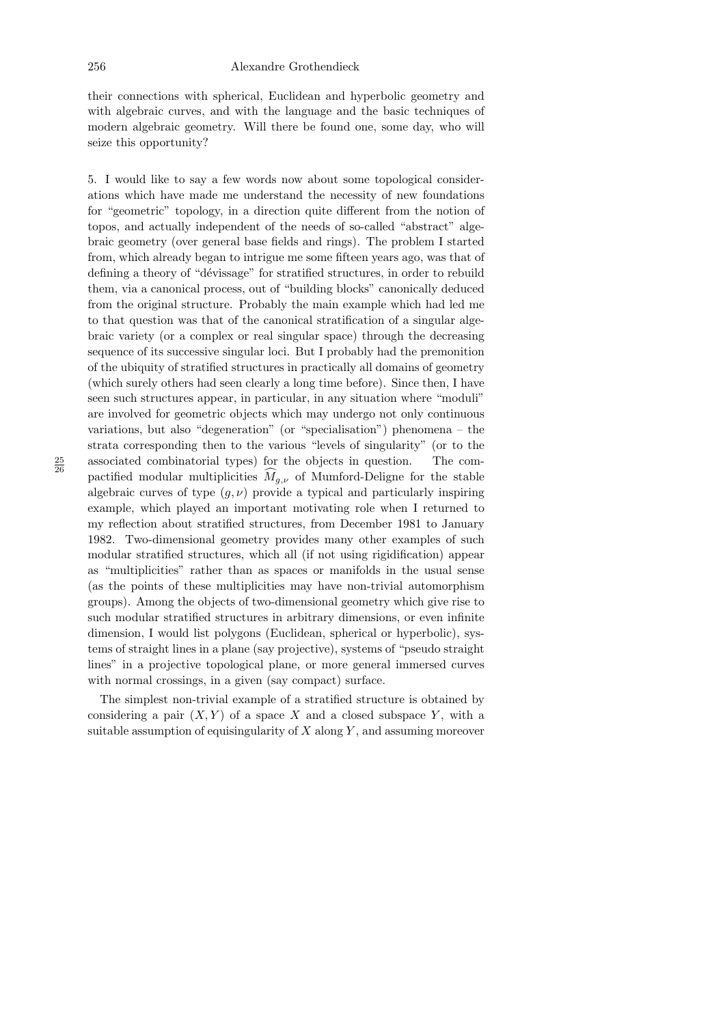their connections with spherical, Euclidean and hyperbolic geometry and with algebraic curves, and with the language and the basic techniques of modern algebraic geometry. Will there be found one, some day, who will seize this opportunity?

5. I would like to say a few words now about some topological considerations which have made me understand the necessity of new foundations for "geometric" topology, in a direction quite different from the notion of topos, and actually independent of the needs of so-called "abstract" algebraic geometry (over general base fields and rings). The problem I started from, which already began to intrigue me some fifteen years ago, was that of defining a theory of "dévissage" for stratified structures, in order to rebuild them, via a canonical process, out of "building blocks" canonically deduced from the original structure. Probably the main example which had led me to that question was that of the canonical stratification of a singular algebraic variety (or a complex or real singular space) through the decreasing sequence of its successive singular loci. But I probably had the premonition of the ubiquity of stratified structures in practically all domains of geometry (which surely others had seen clearly a long time before). Since then, I have seen such structures appear, in particular, in any situation where "moduli" are involved for geometric objects which may undergo not only continuous variations, but also "degeneration" (or "specialisation") phenomena – the strata corresponding then to the various "levels of singularity" (or to the  $\frac{25}{26}$  associated combinatorial types) for the objects in question. The compactified modular multiplicities  $\widehat{M}_{q,\nu}$  of Mumford-Deligne for the stable algebraic curves of type  $(g, \nu)$  provide a typical and particularly inspiring example, which played an important motivating role when I returned to my reflection about stratified structures, from December 1981 to January 1982. Two-dimensional geometry provides many other examples of such modular stratified structures, which all (if not using rigidification) appear as "multiplicities" rather than as spaces or manifolds in the usual sense (as the points of these multiplicities may have non-trivial automorphism groups). Among the objects of two-dimensional geometry which give rise to such modular stratified structures in arbitrary dimensions, or even infinite dimension, I would list polygons (Euclidean, spherical or hyperbolic), systems of straight lines in a plane (say projective), systems of "pseudo straight lines" in a projective topological plane, or more general immersed curves with normal crossings, in a given (say compact) surface.

The simplest non-trivial example of a stratified structure is obtained by considering a pair  $(X, Y)$  of a space X and a closed subspace Y, with a suitable assumption of equisingularity of  $X$  along  $Y$ , and assuming moreover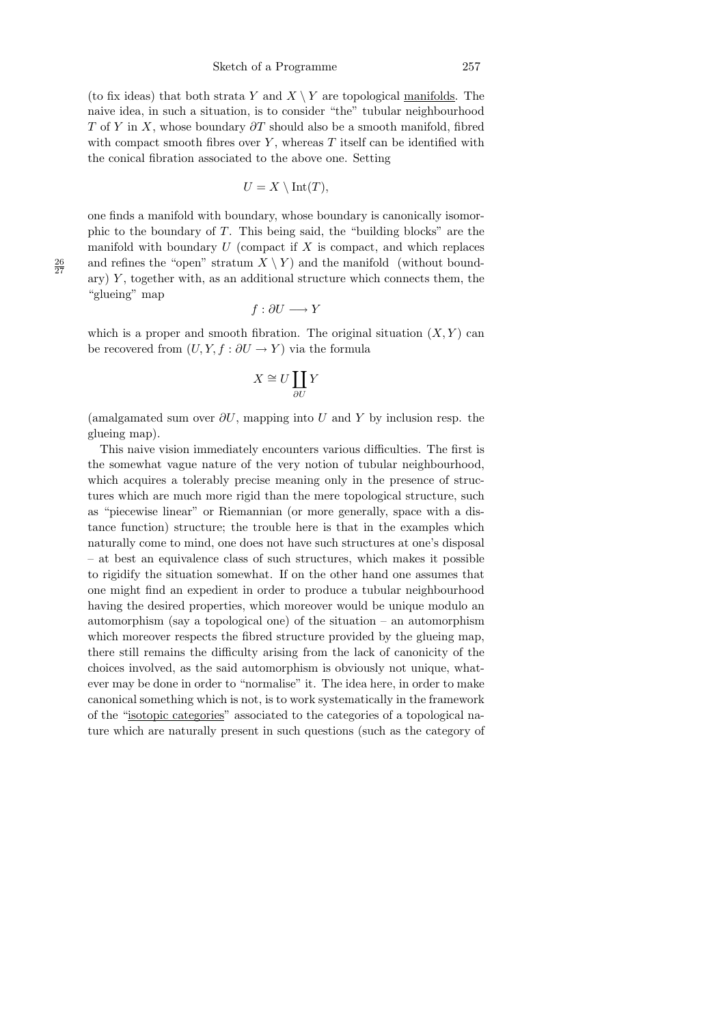(to fix ideas) that both strata Y and  $X \setminus Y$  are topological manifolds. The naive idea, in such a situation, is to consider "the" tubular neighbourhood T of Y in X, whose boundary  $\partial T$  should also be a smooth manifold, fibred with compact smooth fibres over  $Y$ , whereas  $T$  itself can be identified with the conical fibration associated to the above one. Setting

$$
U = X \setminus \text{Int}(T),
$$

one finds a manifold with boundary, whose boundary is canonically isomorphic to the boundary of  $T$ . This being said, the "building blocks" are the manifold with boundary  $U$  (compact if  $X$  is compact, and which replaces  $\frac{26}{27}$  and refines the "open" stratum  $X \setminus Y$  and the manifold (without boundary)  $Y$ , together with, as an additional structure which connects them, the "glueing" map

$$
f:\partial U\longrightarrow Y
$$

which is a proper and smooth fibration. The original situation  $(X, Y)$  can be recovered from  $(U, Y, f : \partial U \to Y)$  via the formula

$$
X\cong U\coprod_{\partial U}Y
$$

(amalgamated sum over  $\partial U$ , mapping into U and Y by inclusion resp. the glueing map).

This naive vision immediately encounters various difficulties. The first is the somewhat vague nature of the very notion of tubular neighbourhood, which acquires a tolerably precise meaning only in the presence of structures which are much more rigid than the mere topological structure, such as "piecewise linear" or Riemannian (or more generally, space with a distance function) structure; the trouble here is that in the examples which naturally come to mind, one does not have such structures at one's disposal – at best an equivalence class of such structures, which makes it possible to rigidify the situation somewhat. If on the other hand one assumes that one might find an expedient in order to produce a tubular neighbourhood having the desired properties, which moreover would be unique modulo an automorphism (say a topological one) of the situation – an automorphism which moreover respects the fibred structure provided by the glueing map, there still remains the difficulty arising from the lack of canonicity of the choices involved, as the said automorphism is obviously not unique, whatever may be done in order to "normalise" it. The idea here, in order to make canonical something which is not, is to work systematically in the framework of the "isotopic categories" associated to the categories of a topological nature which are naturally present in such questions (such as the category of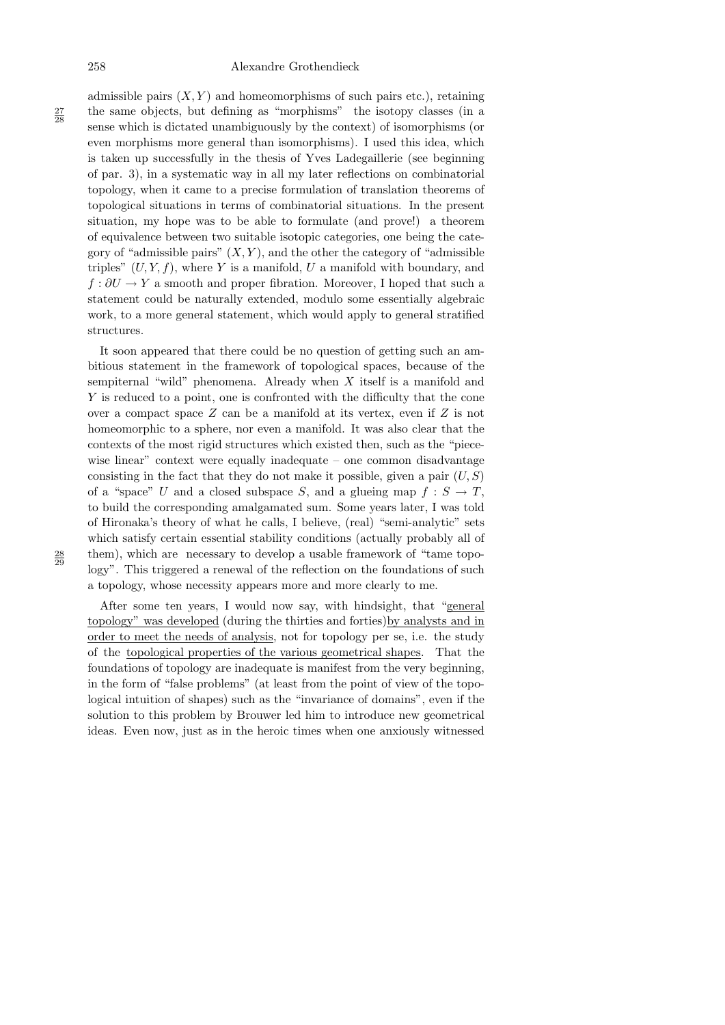admissible pairs  $(X, Y)$  and homeomorphisms of such pairs etc.), retaining  $\frac{27}{28}$  the same objects, but defining as "morphisms" the isotopy classes (in a sense which is dictated unambiguously by the context) of isomorphisms (or even morphisms more general than isomorphisms). I used this idea, which is taken up successfully in the thesis of Yves Ladegaillerie (see beginning of par. 3), in a systematic way in all my later reflections on combinatorial topology, when it came to a precise formulation of translation theorems of topological situations in terms of combinatorial situations. In the present situation, my hope was to be able to formulate (and prove!) a theorem of equivalence between two suitable isotopic categories, one being the category of "admissible pairs"  $(X, Y)$ , and the other the category of "admissible" triples"  $(U, Y, f)$ , where Y is a manifold, U a manifold with boundary, and  $f : \partial U \to Y$  a smooth and proper fibration. Moreover, I hoped that such a statement could be naturally extended, modulo some essentially algebraic work, to a more general statement, which would apply to general stratified structures.

It soon appeared that there could be no question of getting such an ambitious statement in the framework of topological spaces, because of the sempiternal "wild" phenomena. Already when X itself is a manifold and Y is reduced to a point, one is confronted with the difficulty that the cone over a compact space  $Z$  can be a manifold at its vertex, even if  $Z$  is not homeomorphic to a sphere, nor even a manifold. It was also clear that the contexts of the most rigid structures which existed then, such as the "piecewise linear" context were equally inadequate – one common disadvantage consisting in the fact that they do not make it possible, given a pair  $(U, S)$ of a "space" U and a closed subspace S, and a glueing map  $f: S \to T$ , to build the corresponding amalgamated sum. Some years later, I was told of Hironaka's theory of what he calls, I believe, (real) "semi-analytic" sets which satisfy certain essential stability conditions (actually probably all of  $\frac{28}{29}$  them), which are necessary to develop a usable framework of "tame topology". This triggered a renewal of the reflection on the foundations of such a topology, whose necessity appears more and more clearly to me.

After some ten years, I would now say, with hindsight, that "general topology" was developed (during the thirties and forties)by analysts and in order to meet the needs of analysis, not for topology per se, i.e. the study of the topological properties of the various geometrical shapes. That the foundations of topology are inadequate is manifest from the very beginning, in the form of "false problems" (at least from the point of view of the topological intuition of shapes) such as the "invariance of domains", even if the solution to this problem by Brouwer led him to introduce new geometrical ideas. Even now, just as in the heroic times when one anxiously witnessed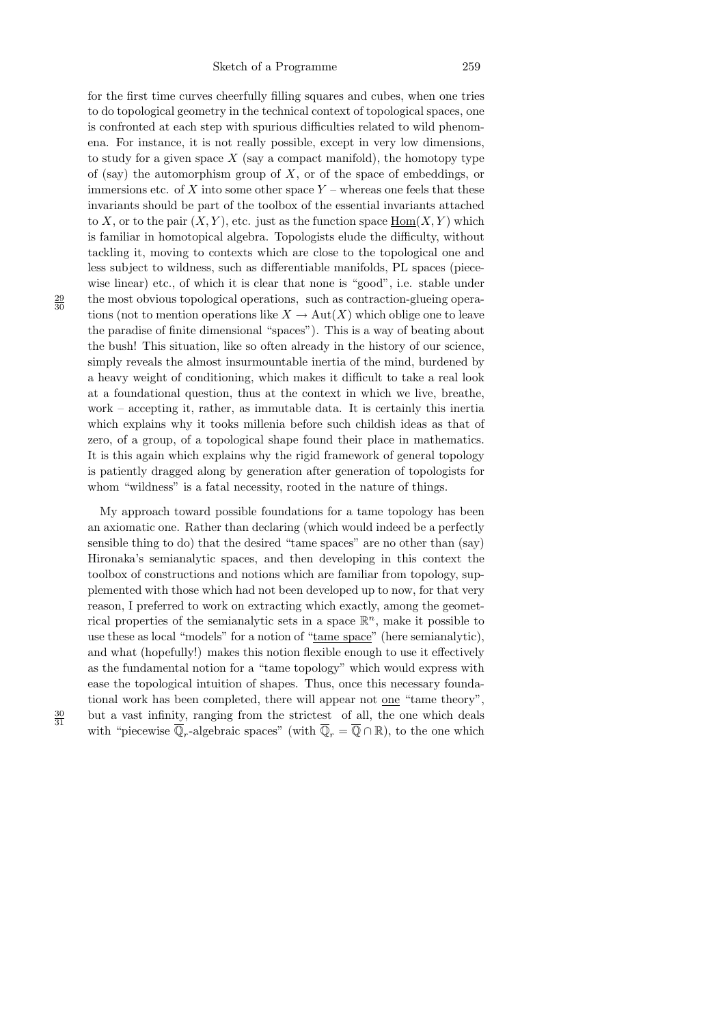for the first time curves cheerfully filling squares and cubes, when one tries to do topological geometry in the technical context of topological spaces, one is confronted at each step with spurious difficulties related to wild phenomena. For instance, it is not really possible, except in very low dimensions, to study for a given space  $X$  (say a compact manifold), the homotopy type of (say) the automorphism group of  $X$ , or of the space of embeddings, or immersions etc. of  $X$  into some other space  $Y$  – whereas one feels that these invariants should be part of the toolbox of the essential invariants attached to X, or to the pair  $(X, Y)$ , etc. just as the function space Hom $(X, Y)$  which is familiar in homotopical algebra. Topologists elude the difficulty, without tackling it, moving to contexts which are close to the topological one and less subject to wildness, such as differentiable manifolds, PL spaces (piecewise linear) etc., of which it is clear that none is "good", i.e. stable under the most obvious topological operations, such as contraction-glueing operations (not to mention operations like  $X \to Aut(X)$  which oblige one to leave the paradise of finite dimensional "spaces"). This is a way of beating about the bush! This situation, like so often already in the history of our science, simply reveals the almost insurmountable inertia of the mind, burdened by a heavy weight of conditioning, which makes it difficult to take a real look at a foundational question, thus at the context in which we live, breathe, work – accepting it, rather, as immutable data. It is certainly this inertia which explains why it tooks millenia before such childish ideas as that of zero, of a group, of a topological shape found their place in mathematics. It is this again which explains why the rigid framework of general topology is patiently dragged along by generation after generation of topologists for whom "wildness" is a fatal necessity, rooted in the nature of things.

My approach toward possible foundations for a tame topology has been an axiomatic one. Rather than declaring (which would indeed be a perfectly sensible thing to do) that the desired "tame spaces" are no other than (say) Hironaka's semianalytic spaces, and then developing in this context the toolbox of constructions and notions which are familiar from topology, supplemented with those which had not been developed up to now, for that very reason, I preferred to work on extracting which exactly, among the geometrical properties of the semianalytic sets in a space  $\mathbb{R}^n$ , make it possible to use these as local "models" for a notion of "tame space" (here semianalytic), and what (hopefully!) makes this notion flexible enough to use it effectively as the fundamental notion for a "tame topology" which would express with ease the topological intuition of shapes. Thus, once this necessary foundational work has been completed, there will appear not one "tame theory", but a vast infinity, ranging from the strictest of all, the one which deals with "piecewise  $\overline{\mathbb{Q}}_r$ -algebraic spaces" (with  $\overline{\mathbb{Q}}_r = \overline{\mathbb{Q}} \cap \mathbb{R}$ ), to the one which

 $rac{30}{31}$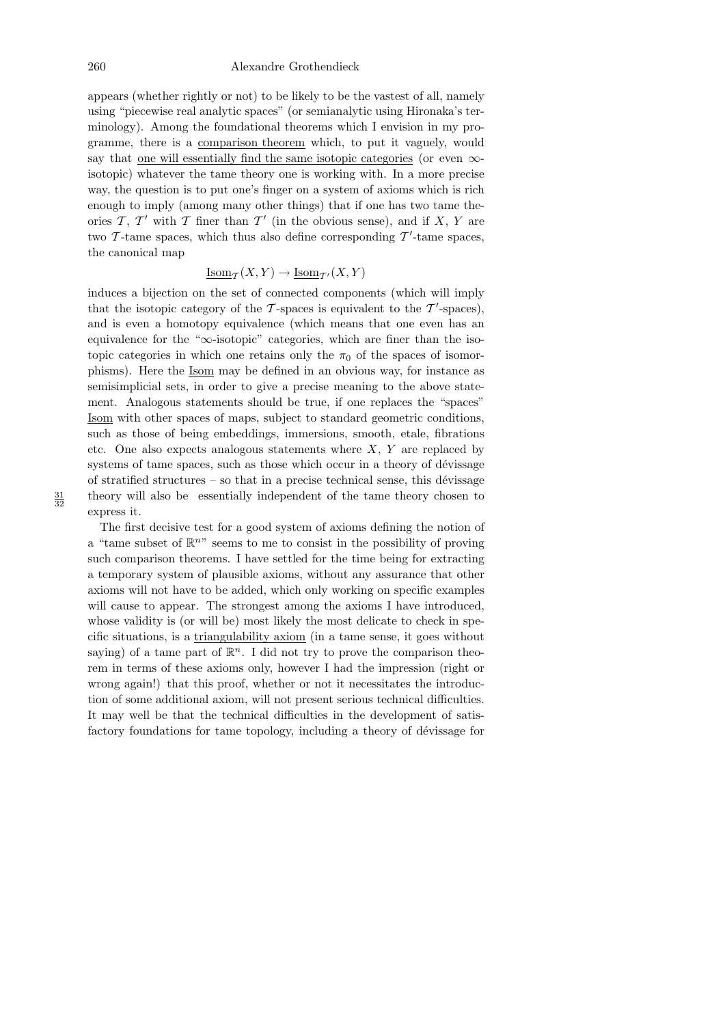appears (whether rightly or not) to be likely to be the vastest of all, namely using "piecewise real analytic spaces" (or semianalytic using Hironaka's terminology). Among the foundational theorems which I envision in my programme, there is a comparison theorem which, to put it vaguely, would say that one will essentially find the same isotopic categories (or even  $\infty$ isotopic) whatever the tame theory one is working with. In a more precise way, the question is to put one's finger on a system of axioms which is rich enough to imply (among many other things) that if one has two tame theories  $\mathcal{T}, \mathcal{T}'$  with  $\mathcal{T}$  finer than  $\mathcal{T}'$  (in the obvious sense), and if X, Y are two  $\mathcal{T}\text{-}\text{tame spaces},$  which thus also define corresponding  $\mathcal{T}'\text{-}\text{tame spaces},$ the canonical map

# $\underline{\mathrm{Isom}}_{\mathcal{T}}(X,Y) \to \underline{\mathrm{Isom}}_{\mathcal{T}'}(X,Y)$

induces a bijection on the set of connected components (which will imply that the isotopic category of the  $\mathcal T$ -spaces is equivalent to the  $\mathcal T'$ -spaces), and is even a homotopy equivalence (which means that one even has an equivalence for the " $\infty$ -isotopic" categories, which are finer than the isotopic categories in which one retains only the  $\pi_0$  of the spaces of isomorphisms). Here the Isom may be defined in an obvious way, for instance as semisimplicial sets, in order to give a precise meaning to the above statement. Analogous statements should be true, if one replaces the "spaces" Isom with other spaces of maps, subject to standard geometric conditions, such as those of being embeddings, immersions, smooth, etale, fibrations etc. One also expects analogous statements where  $X, Y$  are replaced by systems of tame spaces, such as those which occur in a theory of dévissage of stratified structures – so that in a precise technical sense, this dévissage theory will also be essentially independent of the tame theory chosen to express it.

The first decisive test for a good system of axioms defining the notion of a "tame subset of  $\mathbb{R}^{n}$ " seems to me to consist in the possibility of proving such comparison theorems. I have settled for the time being for extracting a temporary system of plausible axioms, without any assurance that other axioms will not have to be added, which only working on specific examples will cause to appear. The strongest among the axioms I have introduced, whose validity is (or will be) most likely the most delicate to check in specific situations, is a triangulability axiom (in a tame sense, it goes without saying) of a tame part of  $\mathbb{R}^n$ . I did not try to prove the comparison theorem in terms of these axioms only, however I had the impression (right or wrong again!) that this proof, whether or not it necessitates the introduction of some additional axiom, will not present serious technical difficulties. It may well be that the technical difficulties in the development of satisfactory foundations for tame topology, including a theory of dévissage for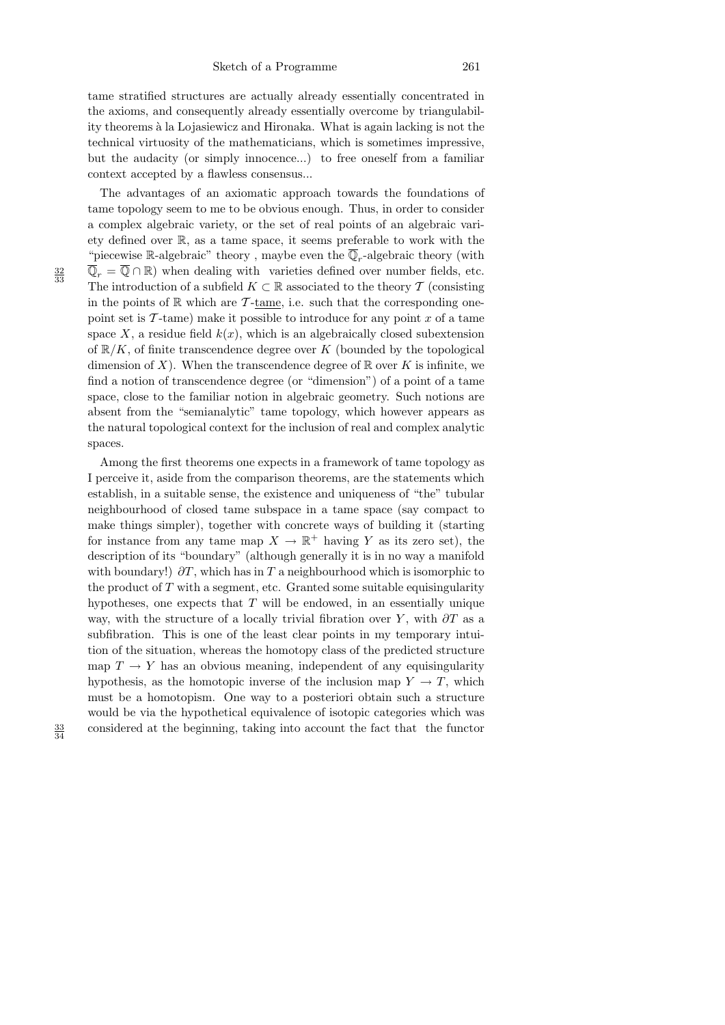tame stratified structures are actually already essentially concentrated in the axioms, and consequently already essentially overcome by triangulability theorems à la Lojasiewicz and Hironaka. What is again lacking is not the technical virtuosity of the mathematicians, which is sometimes impressive, but the audacity (or simply innocence...) to free oneself from a familiar context accepted by a flawless consensus...

The advantages of an axiomatic approach towards the foundations of tame topology seem to me to be obvious enough. Thus, in order to consider a complex algebraic variety, or the set of real points of an algebraic variety defined over R, as a tame space, it seems preferable to work with the "piecewise  $\mathbb{R}\text{-algebraic"}$  theory, maybe even the  $\overline{\mathbb{Q}}_r\text{-algebraic theory}$  (with  $\overline{\mathbb{Q}}_r = \overline{\mathbb{Q}} \cap \mathbb{R}$  when dealing with varieties defined over number fields, etc. The introduction of a subfield  $K \subset \mathbb{R}$  associated to the theory T (consisting in the points of  $\mathbb R$  which are T-tame, i.e. such that the corresponding onepoint set is  $\mathcal{T}\text{-tame}$  make it possible to introduce for any point x of a tame space X, a residue field  $k(x)$ , which is an algebraically closed subextension of  $\mathbb{R}/K$ , of finite transcendence degree over K (bounded by the topological dimension of X). When the transcendence degree of  $\mathbb R$  over K is infinite, we find a notion of transcendence degree (or "dimension") of a point of a tame space, close to the familiar notion in algebraic geometry. Such notions are absent from the "semianalytic" tame topology, which however appears as the natural topological context for the inclusion of real and complex analytic spaces.

Among the first theorems one expects in a framework of tame topology as I perceive it, aside from the comparison theorems, are the statements which establish, in a suitable sense, the existence and uniqueness of "the" tubular neighbourhood of closed tame subspace in a tame space (say compact to make things simpler), together with concrete ways of building it (starting for instance from any tame map  $X \to \mathbb{R}^+$  having Y as its zero set), the description of its "boundary" (although generally it is in no way a manifold with boundary!)  $\partial T$ , which has in T a neighbourhood which is isomorphic to the product of  $T$  with a segment, etc. Granted some suitable equisingularity hypotheses, one expects that  $T$  will be endowed, in an essentially unique way, with the structure of a locally trivial fibration over Y, with  $\partial T$  as a subfibration. This is one of the least clear points in my temporary intuition of the situation, whereas the homotopy class of the predicted structure map  $T \to Y$  has an obvious meaning, independent of any equisingularity hypothesis, as the homotopic inverse of the inclusion map  $Y \to T$ , which must be a homotopism. One way to a posteriori obtain such a structure would be via the hypothetical equivalence of isotopic categories which was considered at the beginning, taking into account the fact that the functor

 $\frac{33}{34}$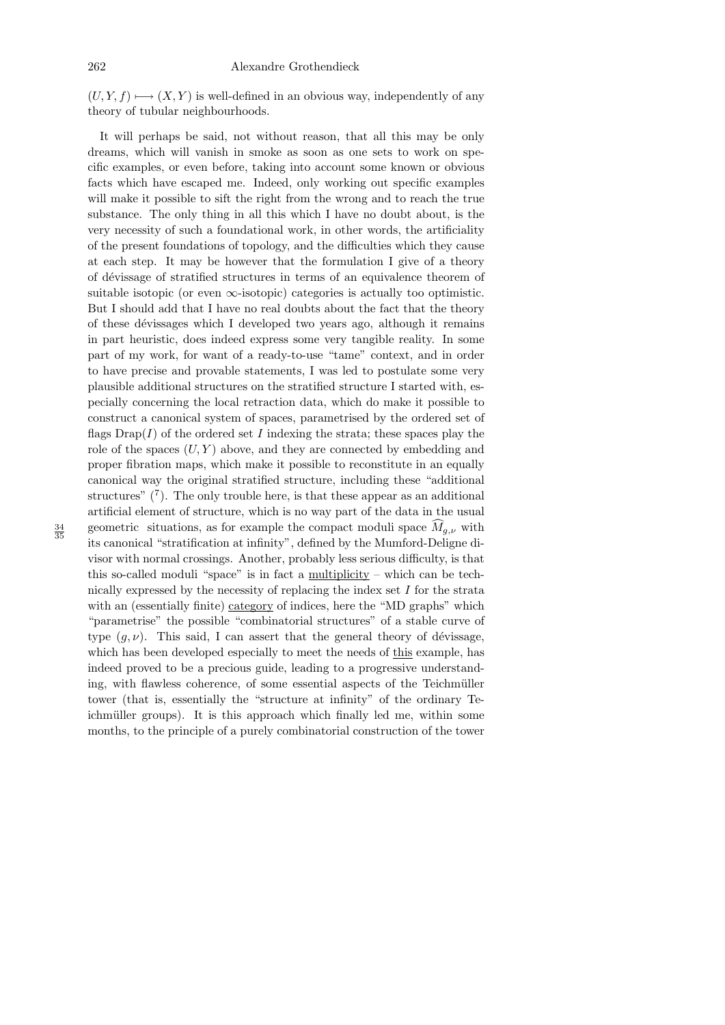$(U, Y, f) \longmapsto (X, Y)$  is well-defined in an obvious way, independently of any theory of tubular neighbourhoods.

It will perhaps be said, not without reason, that all this may be only dreams, which will vanish in smoke as soon as one sets to work on specific examples, or even before, taking into account some known or obvious facts which have escaped me. Indeed, only working out specific examples will make it possible to sift the right from the wrong and to reach the true substance. The only thing in all this which I have no doubt about, is the very necessity of such a foundational work, in other words, the artificiality of the present foundations of topology, and the difficulties which they cause at each step. It may be however that the formulation I give of a theory of d´evissage of stratified structures in terms of an equivalence theorem of suitable isotopic (or even  $\infty$ -isotopic) categories is actually too optimistic. But I should add that I have no real doubts about the fact that the theory of these d´evissages which I developed two years ago, although it remains in part heuristic, does indeed express some very tangible reality. In some part of my work, for want of a ready-to-use "tame" context, and in order to have precise and provable statements, I was led to postulate some very plausible additional structures on the stratified structure I started with, especially concerning the local retraction data, which do make it possible to construct a canonical system of spaces, parametrised by the ordered set of flags  $\text{Draw}(I)$  of the ordered set I indexing the strata; these spaces play the role of the spaces  $(U, Y)$  above, and they are connected by embedding and proper fibration maps, which make it possible to reconstitute in an equally canonical way the original stratified structure, including these "additional structures"  $(7)$ . The only trouble here, is that these appear as an additional artificial element of structure, which is no way part of the data in the usual  $\frac{34}{35}$  geometric situations, as for example the compact moduli space  $\widehat{M}_{g,\nu}$  with its canonical "stratification at infinity", defined by the Mumford-Deligne divisor with normal crossings. Another, probably less serious difficulty, is that this so-called moduli "space" is in fact a multiplicity – which can be technically expressed by the necessity of replacing the index set  $I$  for the strata with an (essentially finite) category of indices, here the "MD graphs" which "parametrise" the possible "combinatorial structures" of a stable curve of type  $(g, \nu)$ . This said, I can assert that the general theory of dévissage, which has been developed especially to meet the needs of this example, has indeed proved to be a precious guide, leading to a progressive understanding, with flawless coherence, of some essential aspects of the Teichmüller tower (that is, essentially the "structure at infinity" of the ordinary Teichmüller groups). It is this approach which finally led me, within some months, to the principle of a purely combinatorial construction of the tower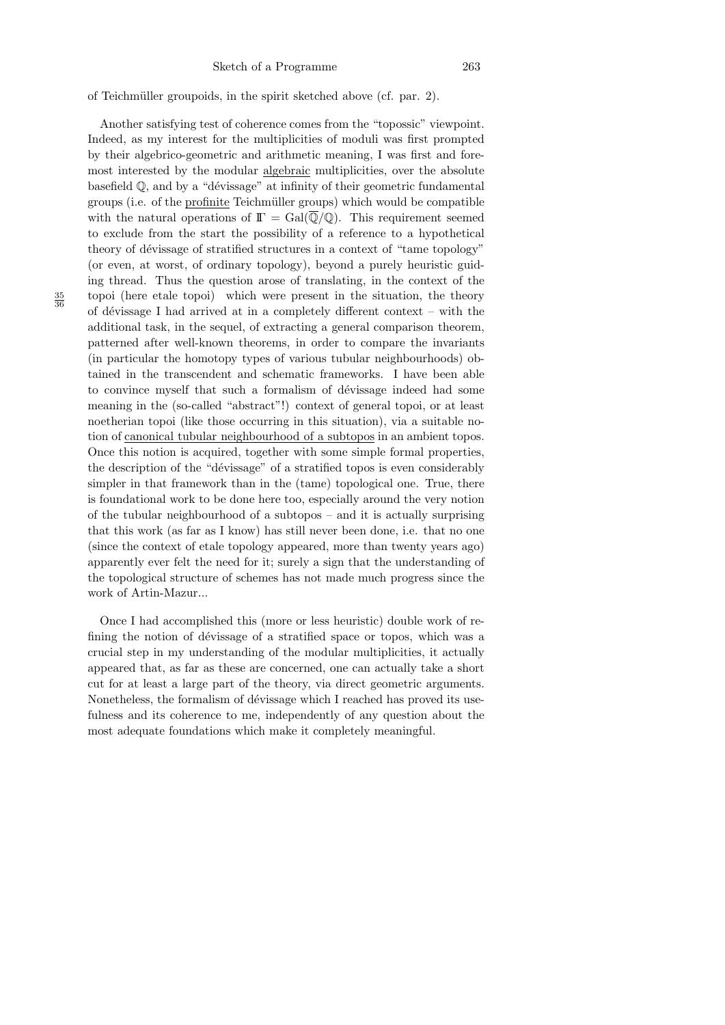### of Teichmüller groupoids, in the spirit sketched above (cf. par. 2).

Another satisfying test of coherence comes from the "topossic" viewpoint. Indeed, as my interest for the multiplicities of moduli was first prompted by their algebrico-geometric and arithmetic meaning, I was first and foremost interested by the modular algebraic multiplicities, over the absolute basefield  $\mathbb{Q}$ , and by a "dévissage" at infinity of their geometric fundamental groups (i.e. of the profinite Teichmüller groups) which would be compatible with the natural operations of  $\mathbb{\Gamma} = \text{Gal}(\overline{\mathbb{Q}}/\mathbb{Q})$ . This requirement seemed to exclude from the start the possibility of a reference to a hypothetical theory of dévissage of stratified structures in a context of "tame topology" (or even, at worst, of ordinary topology), beyond a purely heuristic guiding thread. Thus the question arose of translating, in the context of the  $\frac{35}{36}$  topoi (here etale topoi) which were present in the situation, the theory  $\alpha$  of dévissage I had arrived at in a completely different context – with the additional task, in the sequel, of extracting a general comparison theorem, patterned after well-known theorems, in order to compare the invariants (in particular the homotopy types of various tubular neighbourhoods) obtained in the transcendent and schematic frameworks. I have been able to convince myself that such a formalism of dévissage indeed had some meaning in the (so-called "abstract"!) context of general topoi, or at least noetherian topoi (like those occurring in this situation), via a suitable notion of canonical tubular neighbourhood of a subtopos in an ambient topos. Once this notion is acquired, together with some simple formal properties, the description of the "dévissage" of a stratified topos is even considerably simpler in that framework than in the (tame) topological one. True, there is foundational work to be done here too, especially around the very notion of the tubular neighbourhood of a subtopos – and it is actually surprising that this work (as far as I know) has still never been done, i.e. that no one (since the context of etale topology appeared, more than twenty years ago) apparently ever felt the need for it; surely a sign that the understanding of the topological structure of schemes has not made much progress since the work of Artin-Mazur...

Once I had accomplished this (more or less heuristic) double work of refining the notion of dévissage of a stratified space or topos, which was a crucial step in my understanding of the modular multiplicities, it actually appeared that, as far as these are concerned, one can actually take a short cut for at least a large part of the theory, via direct geometric arguments. Nonetheless, the formalism of dévissage which I reached has proved its usefulness and its coherence to me, independently of any question about the most adequate foundations which make it completely meaningful.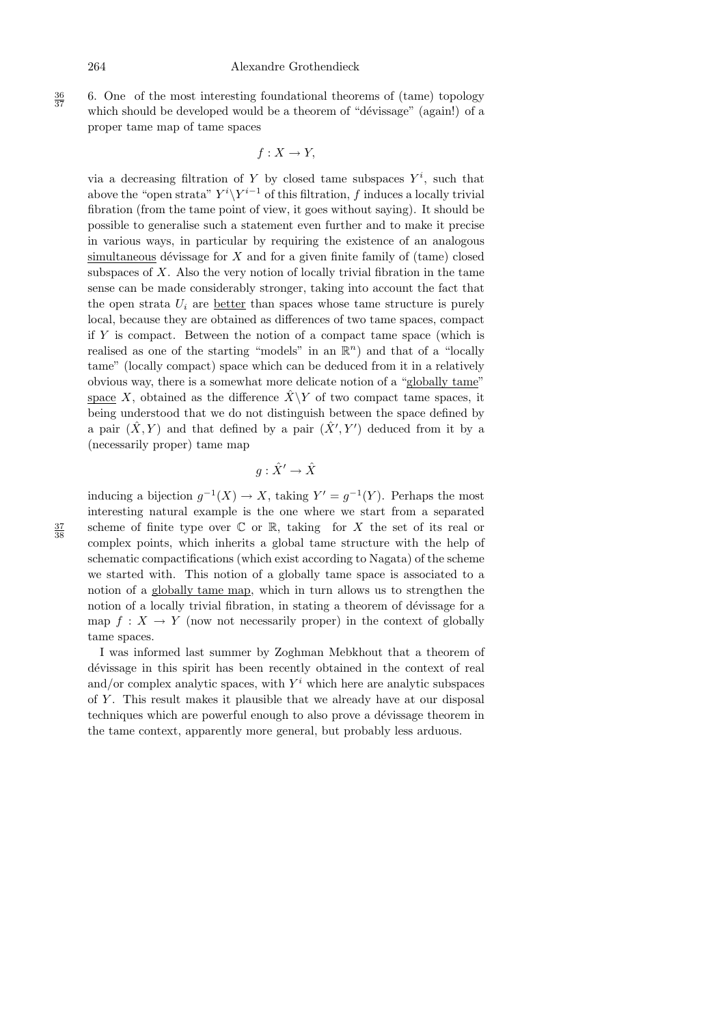$\frac{36}{37}$  6. One of the most interesting foundational theorems of (tame) topology which should be developed would be a theorem of "dévissage" (again!) of a proper tame map of tame spaces

$$
f:X\to Y,
$$

via a decreasing filtration of Y by closed tame subspaces  $Y^i$ , such that above the "open strata"  $Y^i \backslash Y^{i-1}$  of this filtration, f induces a locally trivial fibration (from the tame point of view, it goes without saying). It should be possible to generalise such a statement even further and to make it precise in various ways, in particular by requiring the existence of an analogous simultaneous dévissage for  $X$  and for a given finite family of (tame) closed subspaces of  $X$ . Also the very notion of locally trivial fibration in the tame sense can be made considerably stronger, taking into account the fact that the open strata  $U_i$  are better than spaces whose tame structure is purely local, because they are obtained as differences of two tame spaces, compact if  $Y$  is compact. Between the notion of a compact tame space (which is realised as one of the starting "models" in an  $\mathbb{R}^n$ ) and that of a "locally tame" (locally compact) space which can be deduced from it in a relatively obvious way, there is a somewhat more delicate notion of a "globally tame" space X, obtained as the difference  $\hat{X}\Y$  of two compact tame spaces, it being understood that we do not distinguish between the space defined by a pair  $(\hat{X}, Y)$  and that defined by a pair  $(\hat{X}', Y')$  deduced from it by a (necessarily proper) tame map

$$
g: \hat{X}' \to \hat{X}
$$

 $rac{37}{38}$ 

inducing a bijection  $g^{-1}(X) \to X$ , taking  $Y' = g^{-1}(Y)$ . Perhaps the most interesting natural example is the one where we start from a separated scheme of finite type over  $\mathbb C$  or  $\mathbb R$ , taking for X the set of its real or complex points, which inherits a global tame structure with the help of schematic compactifications (which exist according to Nagata) of the scheme we started with. This notion of a globally tame space is associated to a notion of a globally tame map, which in turn allows us to strengthen the notion of a locally trivial fibration, in stating a theorem of dévissage for a map  $f: X \to Y$  (now not necessarily proper) in the context of globally tame spaces.

I was informed last summer by Zoghman Mebkhout that a theorem of dévissage in this spirit has been recently obtained in the context of real and/or complex analytic spaces, with  $Y^i$  which here are analytic subspaces of  $Y$ . This result makes it plausible that we already have at our disposal techniques which are powerful enough to also prove a dévissage theorem in the tame context, apparently more general, but probably less arduous.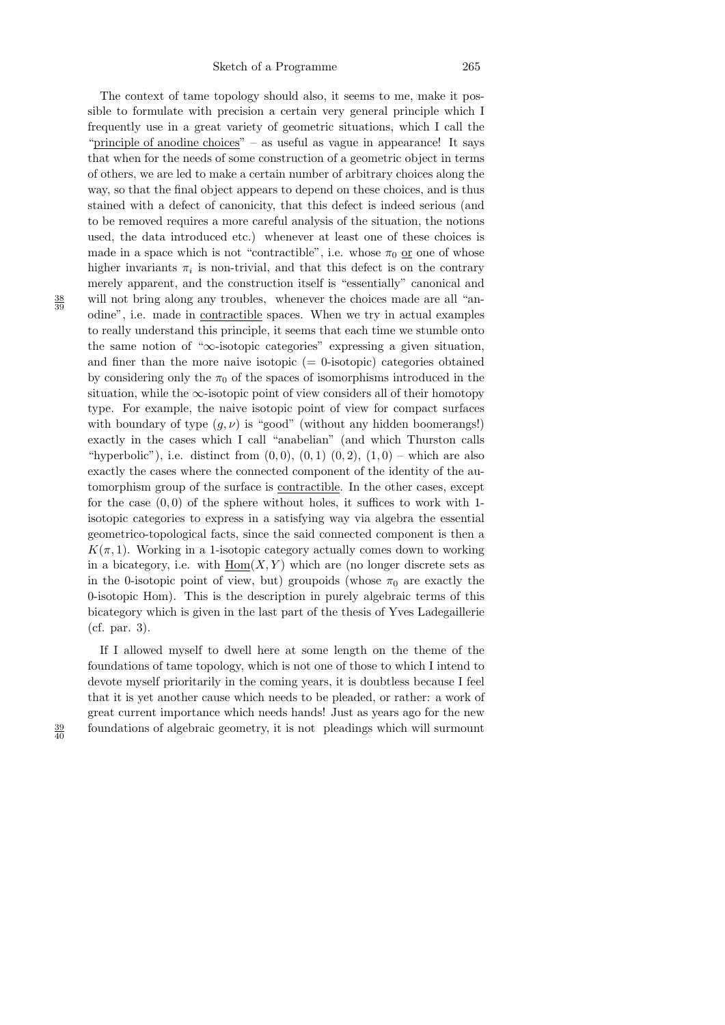The context of tame topology should also, it seems to me, make it possible to formulate with precision a certain very general principle which I frequently use in a great variety of geometric situations, which I call the "principle of anodine choices" – as useful as vague in appearance! It says that when for the needs of some construction of a geometric object in terms of others, we are led to make a certain number of arbitrary choices along the way, so that the final object appears to depend on these choices, and is thus stained with a defect of canonicity, that this defect is indeed serious (and to be removed requires a more careful analysis of the situation, the notions used, the data introduced etc.) whenever at least one of these choices is made in a space which is not "contractible", i.e. whose  $\pi_0$  or one of whose higher invariants  $\pi_i$  is non-trivial, and that this defect is on the contrary merely apparent, and the construction itself is "essentially" canonical and will not bring along any troubles, whenever the choices made are all "anodine", i.e. made in contractible spaces. When we try in actual examples to really understand this principle, it seems that each time we stumble onto the same notion of " $\infty$ -isotopic categories" expressing a given situation, and finer than the more naive isotopic  $(= 0$ -isotopic) categories obtained by considering only the  $\pi_0$  of the spaces of isomorphisms introduced in the situation, while the  $\infty$ -isotopic point of view considers all of their homotopy type. For example, the naive isotopic point of view for compact surfaces with boundary of type  $(g, \nu)$  is "good" (without any hidden boomerangs!) exactly in the cases which I call "anabelian" (and which Thurston calls "hyperbolic"), i.e. distinct from  $(0, 0)$ ,  $(0, 1)$   $(0, 2)$ ,  $(1, 0)$  – which are also exactly the cases where the connected component of the identity of the automorphism group of the surface is contractible. In the other cases, except for the case  $(0, 0)$  of the sphere without holes, it suffices to work with 1isotopic categories to express in a satisfying way via algebra the essential geometrico-topological facts, since the said connected component is then a  $K(\pi, 1)$ . Working in a 1-isotopic category actually comes down to working in a bicategory, i.e. with  $\underline{Hom}(X, Y)$  which are (no longer discrete sets as in the 0-isotopic point of view, but) groupoids (whose  $\pi_0$  are exactly the 0-isotopic Hom). This is the description in purely algebraic terms of this bicategory which is given in the last part of the thesis of Yves Ladegaillerie (cf. par. 3).

If I allowed myself to dwell here at some length on the theme of the foundations of tame topology, which is not one of those to which I intend to devote myself prioritarily in the coming years, it is doubtless because I feel that it is yet another cause which needs to be pleaded, or rather: a work of great current importance which needs hands! Just as years ago for the new foundations of algebraic geometry, it is not pleadings which will surmount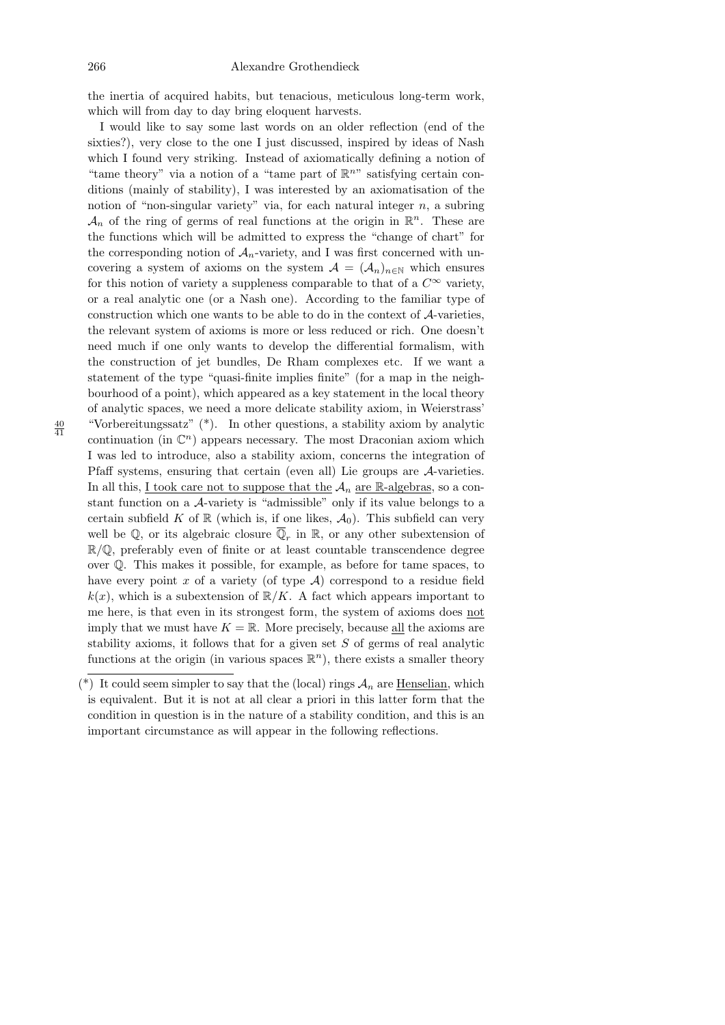the inertia of acquired habits, but tenacious, meticulous long-term work, which will from day to day bring eloquent harvests.

I would like to say some last words on an older reflection (end of the sixties?), very close to the one I just discussed, inspired by ideas of Nash which I found very striking. Instead of axiomatically defining a notion of "tame theory" via a notion of a "tame part of  $\mathbb{R}^{n}$ " satisfying certain conditions (mainly of stability), I was interested by an axiomatisation of the notion of "non-singular variety" via, for each natural integer  $n$ , a subring  $\mathcal{A}_n$  of the ring of germs of real functions at the origin in  $\mathbb{R}^n$ . These are the functions which will be admitted to express the "change of chart" for the corresponding notion of  $A_n$ -variety, and I was first concerned with uncovering a system of axioms on the system  $\mathcal{A} = (\mathcal{A}_n)_{n \in \mathbb{N}}$  which ensures for this notion of variety a suppleness comparable to that of a  $C^{\infty}$  variety, or a real analytic one (or a Nash one). According to the familiar type of construction which one wants to be able to do in the context of A-varieties, the relevant system of axioms is more or less reduced or rich. One doesn't need much if one only wants to develop the differential formalism, with the construction of jet bundles, De Rham complexes etc. If we want a statement of the type "quasi-finite implies finite" (for a map in the neighbourhood of a point), which appeared as a key statement in the local theory of analytic spaces, we need a more delicate stability axiom, in Weierstrass'  $\frac{40}{41}$  "Vorbereitungssatz" (\*). In other questions, a stability axiom by analytic 41 continuation (in  $\mathbb{C}^n$ ) appears necessary. The most Draconian axiom which I was led to introduce, also a stability axiom, concerns the integration of Pfaff systems, ensuring that certain (even all) Lie groups are A-varieties. In all this, <u>I took care not to suppose that the</u>  $A_n$  are R-algebras, so a constant function on a A-variety is "admissible" only if its value belongs to a certain subfield K of R (which is, if one likes,  $\mathcal{A}_0$ ). This subfield can very well be Q, or its algebraic closure  $\overline{\mathbb{Q}}_r$  in  $\mathbb{R}$ , or any other subextension of  $\mathbb{R}/\mathbb{Q}$ , preferably even of finite or at least countable transcendence degree over Q. This makes it possible, for example, as before for tame spaces, to have every point x of a variety (of type  $A$ ) correspond to a residue field  $k(x)$ , which is a subextension of  $\mathbb{R}/K$ . A fact which appears important to me here, is that even in its strongest form, the system of axioms does not imply that we must have  $K = \mathbb{R}$ . More precisely, because all the axioms are stability axioms, it follows that for a given set S of germs of real analytic functions at the origin (in various spaces  $\mathbb{R}^n$ ), there exists a smaller theory

<sup>(\*)</sup> It could seem simpler to say that the (local) rings  $A_n$  are <u>Henselian</u>, which is equivalent. But it is not at all clear a priori in this latter form that the condition in question is in the nature of a stability condition, and this is an important circumstance as will appear in the following reflections.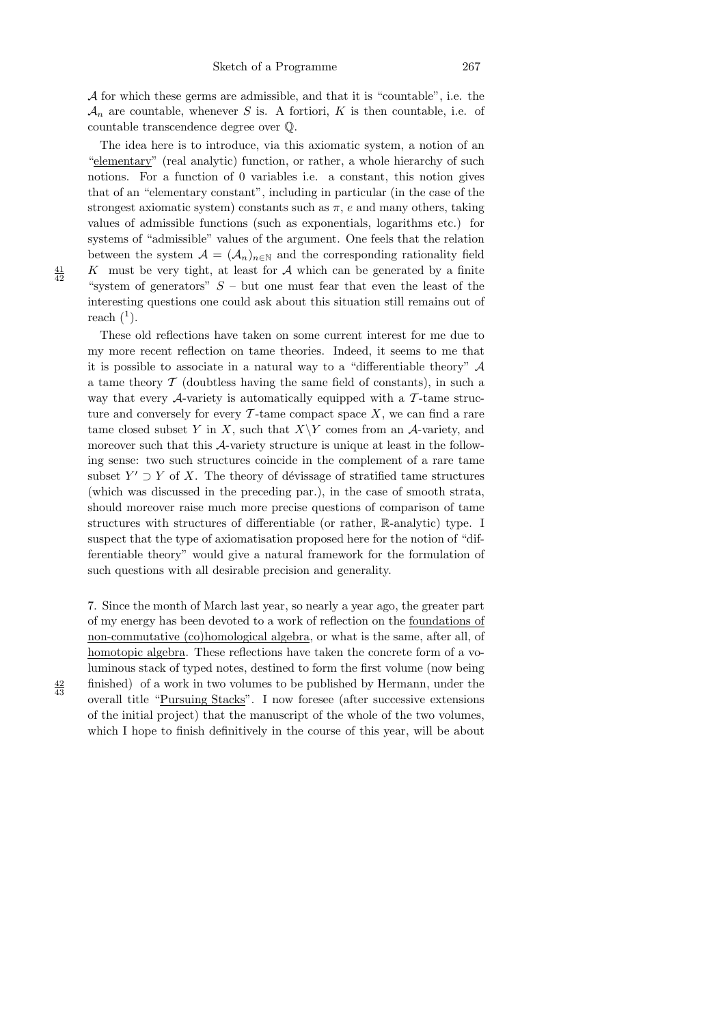A for which these germs are admissible, and that it is "countable", i.e. the  $\mathcal{A}_n$  are countable, whenever S is. A fortiori, K is then countable, i.e. of countable transcendence degree over Q.

The idea here is to introduce, via this axiomatic system, a notion of an "elementary" (real analytic) function, or rather, a whole hierarchy of such notions. For a function of 0 variables i.e. a constant, this notion gives that of an "elementary constant", including in particular (in the case of the strongest axiomatic system) constants such as  $\pi$ , e and many others, taking values of admissible functions (such as exponentials, logarithms etc.) for systems of "admissible" values of the argument. One feels that the relation between the system  $A = (A_n)_{n \in \mathbb{N}}$  and the corresponding rationality field  $K$  must be very tight, at least for  $A$  which can be generated by a finite "system of generators"  $S$  – but one must fear that even the least of the interesting questions one could ask about this situation still remains out of reach  $(1)$ .

These old reflections have taken on some current interest for me due to my more recent reflection on tame theories. Indeed, it seems to me that it is possible to associate in a natural way to a "differentiable theory"  $A$ a tame theory  $\mathcal T$  (doubtless having the same field of constants), in such a way that every  $A$ -variety is automatically equipped with a  $T$ -tame structure and conversely for every  $\mathcal T$ -tame compact space  $X$ , we can find a rare tame closed subset Y in X, such that  $X\Y$  comes from an A-variety, and moreover such that this A-variety structure is unique at least in the following sense: two such structures coincide in the complement of a rare tame subset  $Y' \supset Y$  of X. The theory of dévissage of stratified tame structures (which was discussed in the preceding par.), in the case of smooth strata, should moreover raise much more precise questions of comparison of tame structures with structures of differentiable (or rather, R-analytic) type. I suspect that the type of axiomatisation proposed here for the notion of "differentiable theory" would give a natural framework for the formulation of such questions with all desirable precision and generality.

7. Since the month of March last year, so nearly a year ago, the greater part of my energy has been devoted to a work of reflection on the foundations of non-commutative (co)homological algebra, or what is the same, after all, of homotopic algebra. These reflections have taken the concrete form of a voluminous stack of typed notes, destined to form the first volume (now being  $\frac{42}{43}$  finished) of a work in two volumes to be published by Hermann, under the <sup>43</sup> overall title "Pursuing Stacks". I now foresee (after successive extensions of the initial project) that the manuscript of the whole of the two volumes, which I hope to finish definitively in the course of this year, will be about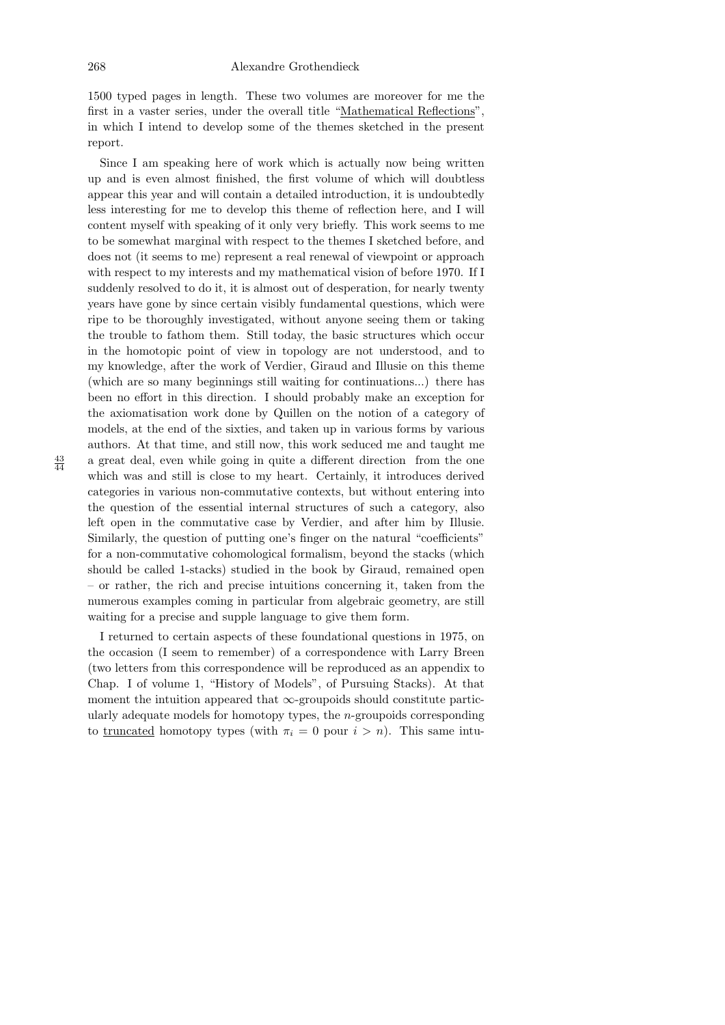1500 typed pages in length. These two volumes are moreover for me the first in a vaster series, under the overall title "Mathematical Reflections", in which I intend to develop some of the themes sketched in the present report.

Since I am speaking here of work which is actually now being written up and is even almost finished, the first volume of which will doubtless appear this year and will contain a detailed introduction, it is undoubtedly less interesting for me to develop this theme of reflection here, and I will content myself with speaking of it only very briefly. This work seems to me to be somewhat marginal with respect to the themes I sketched before, and does not (it seems to me) represent a real renewal of viewpoint or approach with respect to my interests and my mathematical vision of before 1970. If I suddenly resolved to do it, it is almost out of desperation, for nearly twenty years have gone by since certain visibly fundamental questions, which were ripe to be thoroughly investigated, without anyone seeing them or taking the trouble to fathom them. Still today, the basic structures which occur in the homotopic point of view in topology are not understood, and to my knowledge, after the work of Verdier, Giraud and Illusie on this theme (which are so many beginnings still waiting for continuations...) there has been no effort in this direction. I should probably make an exception for the axiomatisation work done by Quillen on the notion of a category of models, at the end of the sixties, and taken up in various forms by various authors. At that time, and still now, this work seduced me and taught me a great deal, even while going in quite a different direction from the one which was and still is close to my heart. Certainly, it introduces derived categories in various non-commutative contexts, but without entering into the question of the essential internal structures of such a category, also left open in the commutative case by Verdier, and after him by Illusie. Similarly, the question of putting one's finger on the natural "coefficients" for a non-commutative cohomological formalism, beyond the stacks (which should be called 1-stacks) studied in the book by Giraud, remained open – or rather, the rich and precise intuitions concerning it, taken from the numerous examples coming in particular from algebraic geometry, are still waiting for a precise and supple language to give them form.

I returned to certain aspects of these foundational questions in 1975, on the occasion (I seem to remember) of a correspondence with Larry Breen (two letters from this correspondence will be reproduced as an appendix to Chap. I of volume 1, "History of Models", of Pursuing Stacks). At that moment the intuition appeared that  $\infty$ -groupoids should constitute particularly adequate models for homotopy types, the  $n$ -groupoids corresponding to <u>truncated</u> homotopy types (with  $\pi_i = 0$  pour  $i > n$ ). This same intu-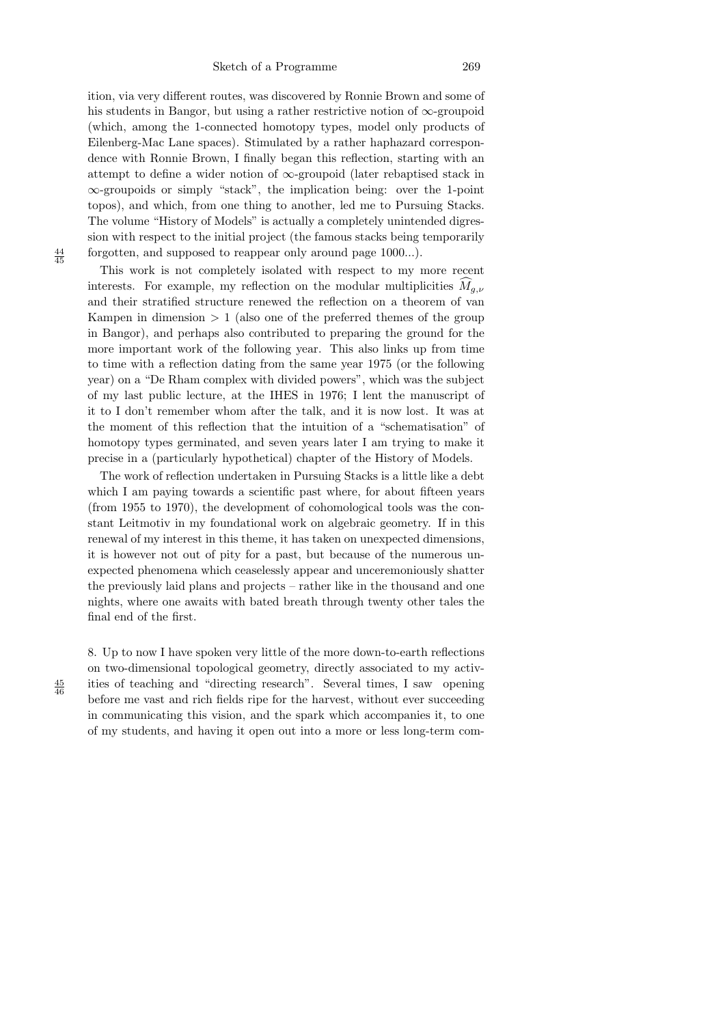ition, via very different routes, was discovered by Ronnie Brown and some of his students in Bangor, but using a rather restrictive notion of  $\infty$ -groupoid (which, among the 1-connected homotopy types, model only products of Eilenberg-Mac Lane spaces). Stimulated by a rather haphazard correspondence with Ronnie Brown, I finally began this reflection, starting with an attempt to define a wider notion of  $\infty$ -groupoid (later rebaptised stack in ∞-groupoids or simply "stack", the implication being: over the 1-point topos), and which, from one thing to another, led me to Pursuing Stacks. The volume "History of Models" is actually a completely unintended digression with respect to the initial project (the famous stacks being temporarily forgotten, and supposed to reappear only around page 1000...).

 $\frac{44}{45}$ 

This work is not completely isolated with respect to my more recent interests. For example, my reflection on the modular multiplicities  $\hat{M}_{q,\nu}$ and their stratified structure renewed the reflection on a theorem of van Kampen in dimension  $> 1$  (also one of the preferred themes of the group in Bangor), and perhaps also contributed to preparing the ground for the more important work of the following year. This also links up from time to time with a reflection dating from the same year 1975 (or the following year) on a "De Rham complex with divided powers", which was the subject of my last public lecture, at the IHES in 1976; I lent the manuscript of it to I don't remember whom after the talk, and it is now lost. It was at the moment of this reflection that the intuition of a "schematisation" of homotopy types germinated, and seven years later I am trying to make it precise in a (particularly hypothetical) chapter of the History of Models.

The work of reflection undertaken in Pursuing Stacks is a little like a debt which I am paying towards a scientific past where, for about fifteen years (from 1955 to 1970), the development of cohomological tools was the constant Leitmotiv in my foundational work on algebraic geometry. If in this renewal of my interest in this theme, it has taken on unexpected dimensions, it is however not out of pity for a past, but because of the numerous unexpected phenomena which ceaselessly appear and unceremoniously shatter the previously laid plans and projects – rather like in the thousand and one nights, where one awaits with bated breath through twenty other tales the final end of the first.

8. Up to now I have spoken very little of the more down-to-earth reflections on two-dimensional topological geometry, directly associated to my activities of teaching and "directing research". Several times, I saw opening before me vast and rich fields ripe for the harvest, without ever succeeding in communicating this vision, and the spark which accompanies it, to one of my students, and having it open out into a more or less long-term com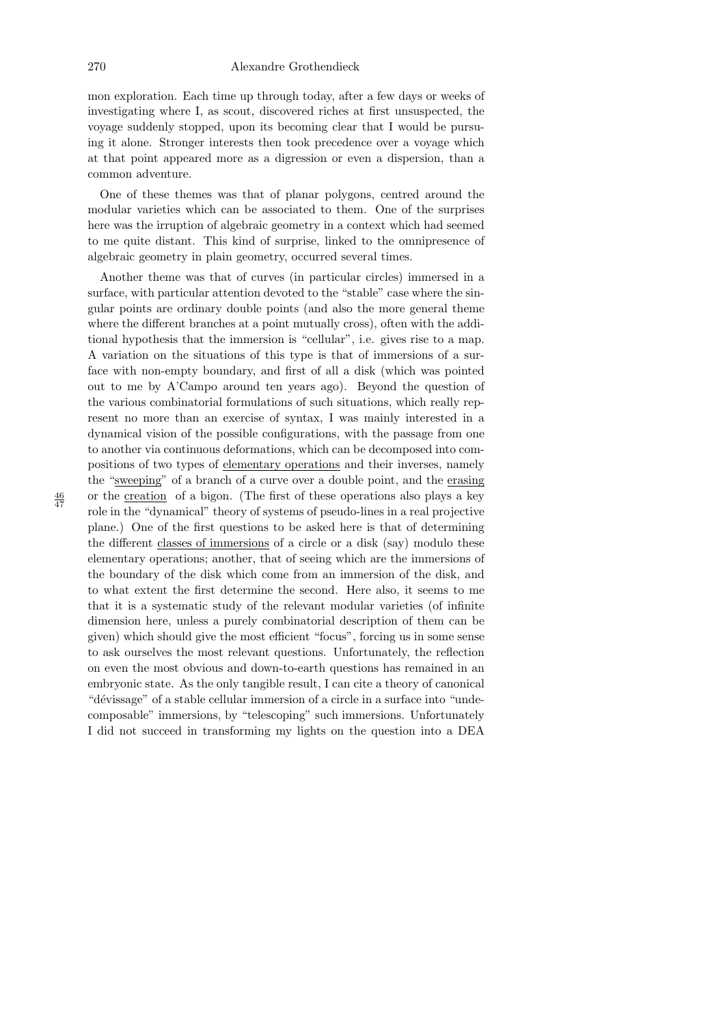mon exploration. Each time up through today, after a few days or weeks of investigating where I, as scout, discovered riches at first unsuspected, the voyage suddenly stopped, upon its becoming clear that I would be pursuing it alone. Stronger interests then took precedence over a voyage which at that point appeared more as a digression or even a dispersion, than a common adventure.

One of these themes was that of planar polygons, centred around the modular varieties which can be associated to them. One of the surprises here was the irruption of algebraic geometry in a context which had seemed to me quite distant. This kind of surprise, linked to the omnipresence of algebraic geometry in plain geometry, occurred several times.

Another theme was that of curves (in particular circles) immersed in a surface, with particular attention devoted to the "stable" case where the singular points are ordinary double points (and also the more general theme where the different branches at a point mutually cross), often with the additional hypothesis that the immersion is "cellular", i.e. gives rise to a map. A variation on the situations of this type is that of immersions of a surface with non-empty boundary, and first of all a disk (which was pointed out to me by A'Campo around ten years ago). Beyond the question of the various combinatorial formulations of such situations, which really represent no more than an exercise of syntax, I was mainly interested in a dynamical vision of the possible configurations, with the passage from one to another via continuous deformations, which can be decomposed into compositions of two types of elementary operations and their inverses, namely the "sweeping" of a branch of a curve over a double point, and the erasing  $\frac{46}{47}$  or the <u>creation</u> of a bigon. (The first of these operations also plays a key <sup>47</sup> role in the "dynamical" theory of systems of pseudo-lines in a real projective plane.) One of the first questions to be asked here is that of determining the different classes of immersions of a circle or a disk (say) modulo these elementary operations; another, that of seeing which are the immersions of the boundary of the disk which come from an immersion of the disk, and to what extent the first determine the second. Here also, it seems to me that it is a systematic study of the relevant modular varieties (of infinite dimension here, unless a purely combinatorial description of them can be given) which should give the most efficient "focus", forcing us in some sense to ask ourselves the most relevant questions. Unfortunately, the reflection on even the most obvious and down-to-earth questions has remained in an embryonic state. As the only tangible result, I can cite a theory of canonical "dévissage" of a stable cellular immersion of a circle in a surface into "undecomposable" immersions, by "telescoping" such immersions. Unfortunately I did not succeed in transforming my lights on the question into a DEA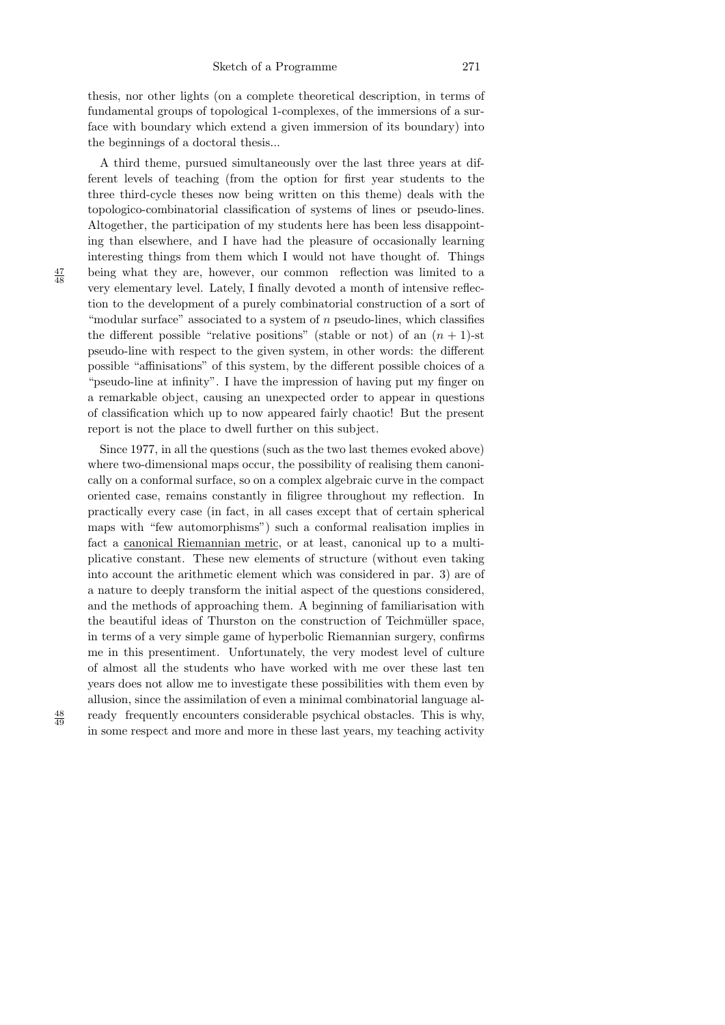thesis, nor other lights (on a complete theoretical description, in terms of fundamental groups of topological 1-complexes, of the immersions of a surface with boundary which extend a given immersion of its boundary) into the beginnings of a doctoral thesis...

A third theme, pursued simultaneously over the last three years at different levels of teaching (from the option for first year students to the three third-cycle theses now being written on this theme) deals with the topologico-combinatorial classification of systems of lines or pseudo-lines. Altogether, the participation of my students here has been less disappointing than elsewhere, and I have had the pleasure of occasionally learning interesting things from them which I would not have thought of. Things being what they are, however, our common reflection was limited to a very elementary level. Lately, I finally devoted a month of intensive reflection to the development of a purely combinatorial construction of a sort of "modular surface" associated to a system of  $n$  pseudo-lines, which classifies the different possible "relative positions" (stable or not) of an  $(n + 1)$ -st pseudo-line with respect to the given system, in other words: the different possible "affinisations" of this system, by the different possible choices of a "pseudo-line at infinity". I have the impression of having put my finger on a remarkable object, causing an unexpected order to appear in questions of classification which up to now appeared fairly chaotic! But the present report is not the place to dwell further on this subject.

Since 1977, in all the questions (such as the two last themes evoked above) where two-dimensional maps occur, the possibility of realising them canonically on a conformal surface, so on a complex algebraic curve in the compact oriented case, remains constantly in filigree throughout my reflection. In practically every case (in fact, in all cases except that of certain spherical maps with "few automorphisms") such a conformal realisation implies in fact a canonical Riemannian metric, or at least, canonical up to a multiplicative constant. These new elements of structure (without even taking into account the arithmetic element which was considered in par. 3) are of a nature to deeply transform the initial aspect of the questions considered, and the methods of approaching them. A beginning of familiarisation with the beautiful ideas of Thurston on the construction of Teichmüller space, in terms of a very simple game of hyperbolic Riemannian surgery, confirms me in this presentiment. Unfortunately, the very modest level of culture of almost all the students who have worked with me over these last ten years does not allow me to investigate these possibilities with them even by allusion, since the assimilation of even a minimal combinatorial language already frequently encounters considerable psychical obstacles. This is why, in some respect and more and more in these last years, my teaching activity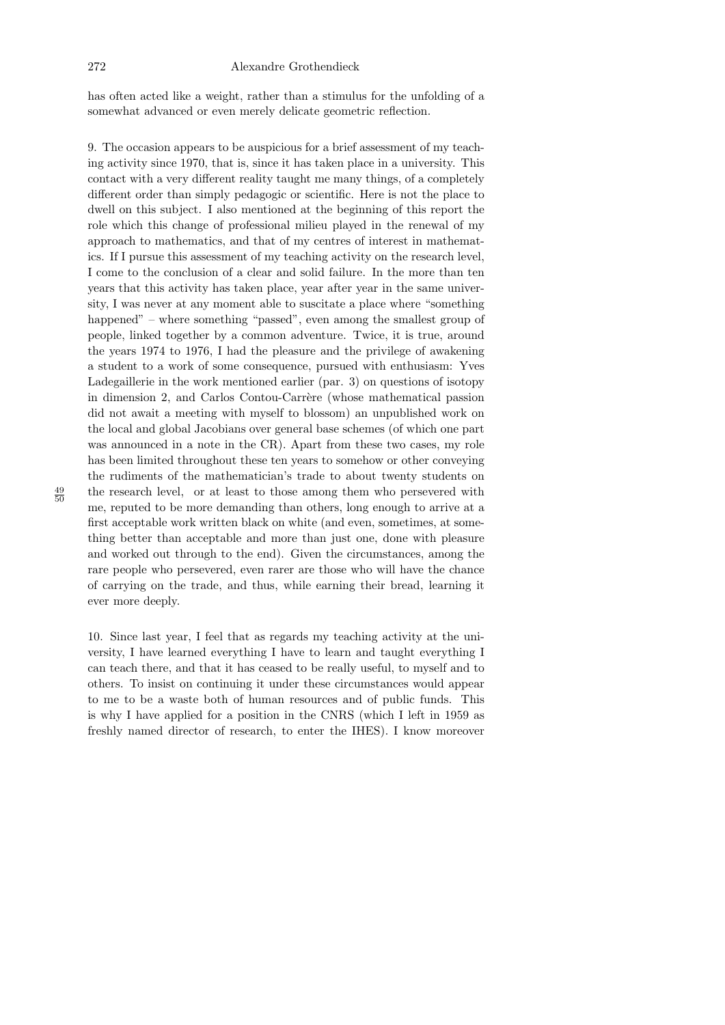has often acted like a weight, rather than a stimulus for the unfolding of a somewhat advanced or even merely delicate geometric reflection.

9. The occasion appears to be auspicious for a brief assessment of my teaching activity since 1970, that is, since it has taken place in a university. This contact with a very different reality taught me many things, of a completely different order than simply pedagogic or scientific. Here is not the place to dwell on this subject. I also mentioned at the beginning of this report the role which this change of professional milieu played in the renewal of my approach to mathematics, and that of my centres of interest in mathematics. If I pursue this assessment of my teaching activity on the research level, I come to the conclusion of a clear and solid failure. In the more than ten years that this activity has taken place, year after year in the same university, I was never at any moment able to suscitate a place where "something happened" – where something "passed", even among the smallest group of people, linked together by a common adventure. Twice, it is true, around the years 1974 to 1976, I had the pleasure and the privilege of awakening a student to a work of some consequence, pursued with enthusiasm: Yves Ladegaillerie in the work mentioned earlier (par. 3) on questions of isotopy in dimension 2, and Carlos Contou-Carrère (whose mathematical passion did not await a meeting with myself to blossom) an unpublished work on the local and global Jacobians over general base schemes (of which one part was announced in a note in the CR). Apart from these two cases, my role has been limited throughout these ten years to somehow or other conveying the rudiments of the mathematician's trade to about twenty students on the research level, or at least to those among them who persevered with me, reputed to be more demanding than others, long enough to arrive at a first acceptable work written black on white (and even, sometimes, at something better than acceptable and more than just one, done with pleasure and worked out through to the end). Given the circumstances, among the rare people who persevered, even rarer are those who will have the chance of carrying on the trade, and thus, while earning their bread, learning it ever more deeply.

10. Since last year, I feel that as regards my teaching activity at the university, I have learned everything I have to learn and taught everything I can teach there, and that it has ceased to be really useful, to myself and to others. To insist on continuing it under these circumstances would appear to me to be a waste both of human resources and of public funds. This is why I have applied for a position in the CNRS (which I left in 1959 as freshly named director of research, to enter the IHES). I know moreover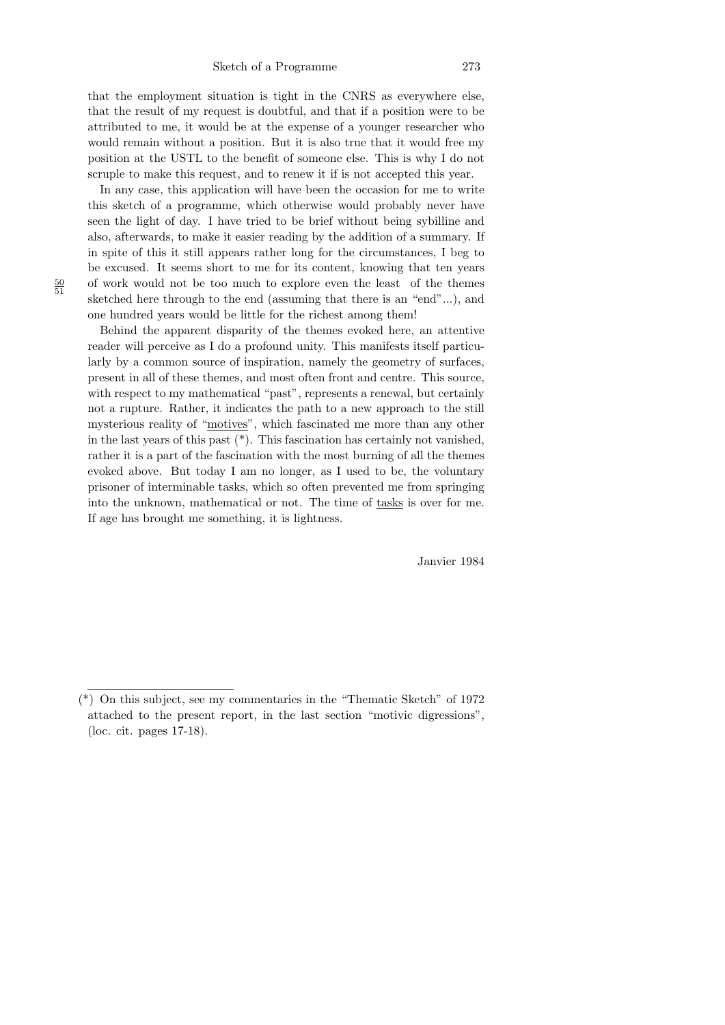that the employment situation is tight in the CNRS as everywhere else, that the result of my request is doubtful, and that if a position were to be attributed to me, it would be at the expense of a younger researcher who would remain without a position. But it is also true that it would free my position at the USTL to the benefit of someone else. This is why I do not scruple to make this request, and to renew it if is not accepted this year.

In any case, this application will have been the occasion for me to write this sketch of a programme, which otherwise would probably never have seen the light of day. I have tried to be brief without being sybilline and also, afterwards, to make it easier reading by the addition of a summary. If in spite of this it still appears rather long for the circumstances, I beg to be excused. It seems short to me for its content, knowing that ten years of work would not be too much to explore even the least of the themes sketched here through to the end (assuming that there is an "end"...), and one hundred years would be little for the richest among them!

Behind the apparent disparity of the themes evoked here, an attentive reader will perceive as I do a profound unity. This manifests itself particularly by a common source of inspiration, namely the geometry of surfaces, present in all of these themes, and most often front and centre. This source, with respect to my mathematical "past", represents a renewal, but certainly not a rupture. Rather, it indicates the path to a new approach to the still mysterious reality of "motives", which fascinated me more than any other in the last years of this past (\*). This fascination has certainly not vanished, rather it is a part of the fascination with the most burning of all the themes evoked above. But today I am no longer, as I used to be, the voluntary prisoner of interminable tasks, which so often prevented me from springing into the unknown, mathematical or not. The time of tasks is over for me. If age has brought me something, it is lightness.

Janvier 1984

<sup>(\*)</sup> On this subject, see my commentaries in the "Thematic Sketch" of 1972 attached to the present report, in the last section "motivic digressions", (loc. cit. pages 17-18).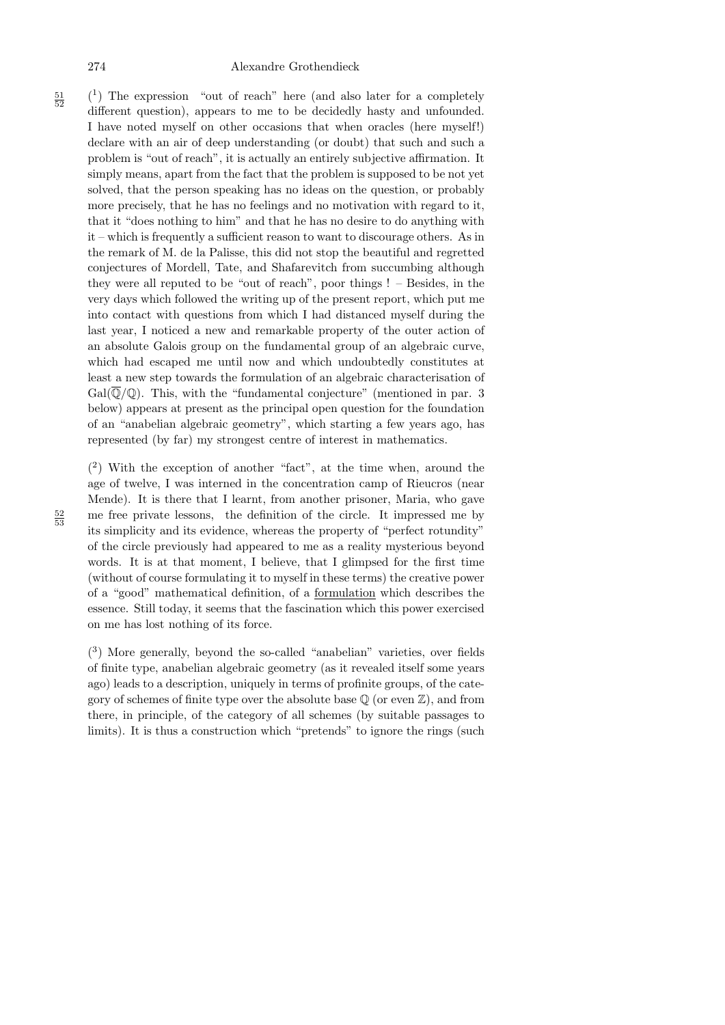$\frac{51}{52}$  (<sup>1</sup>) The expression "out of reach" here (and also later for a completely  $\frac{51}{52}$  (<sup>1</sup>) The expression "out of reach" here (and also later for a completely different question), appears to me to be decidedly hasty and unfounded. I have noted myself on other occasions that when oracles (here myself!) declare with an air of deep understanding (or doubt) that such and such a problem is "out of reach", it is actually an entirely subjective affirmation. It simply means, apart from the fact that the problem is supposed to be not yet solved, that the person speaking has no ideas on the question, or probably more precisely, that he has no feelings and no motivation with regard to it, that it "does nothing to him" and that he has no desire to do anything with it – which is frequently a sufficient reason to want to discourage others. As in the remark of M. de la Palisse, this did not stop the beautiful and regretted conjectures of Mordell, Tate, and Shafarevitch from succumbing although they were all reputed to be "out of reach", poor things ! – Besides, in the very days which followed the writing up of the present report, which put me into contact with questions from which I had distanced myself during the last year, I noticed a new and remarkable property of the outer action of an absolute Galois group on the fundamental group of an algebraic curve, which had escaped me until now and which undoubtedly constitutes at least a new step towards the formulation of an algebraic characterisation of  $Gal(\overline{\mathbb{Q}}/\mathbb{Q})$ . This, with the "fundamental conjecture" (mentioned in par. 3 below) appears at present as the principal open question for the foundation of an "anabelian algebraic geometry", which starting a few years ago, has represented (by far) my strongest centre of interest in mathematics.

( 2 ) With the exception of another "fact", at the time when, around the age of twelve, I was interned in the concentration camp of Rieucros (near Mende). It is there that I learnt, from another prisoner, Maria, who gave <sup>52</sup> me free private lessons, the definition of the circle. It impressed me by its simplicity and its evidence, whereas the property of "perfect rotundity" of the circle previously had appeared to me as a reality mysterious beyond words. It is at that moment, I believe, that I glimpsed for the first time (without of course formulating it to myself in these terms) the creative power of a "good" mathematical definition, of a formulation which describes the essence. Still today, it seems that the fascination which this power exercised on me has lost nothing of its force.

( 3 ) More generally, beyond the so-called "anabelian" varieties, over fields of finite type, anabelian algebraic geometry (as it revealed itself some years ago) leads to a description, uniquely in terms of profinite groups, of the category of schemes of finite type over the absolute base  $\mathbb Q$  (or even  $\mathbb Z$ ), and from there, in principle, of the category of all schemes (by suitable passages to limits). It is thus a construction which "pretends" to ignore the rings (such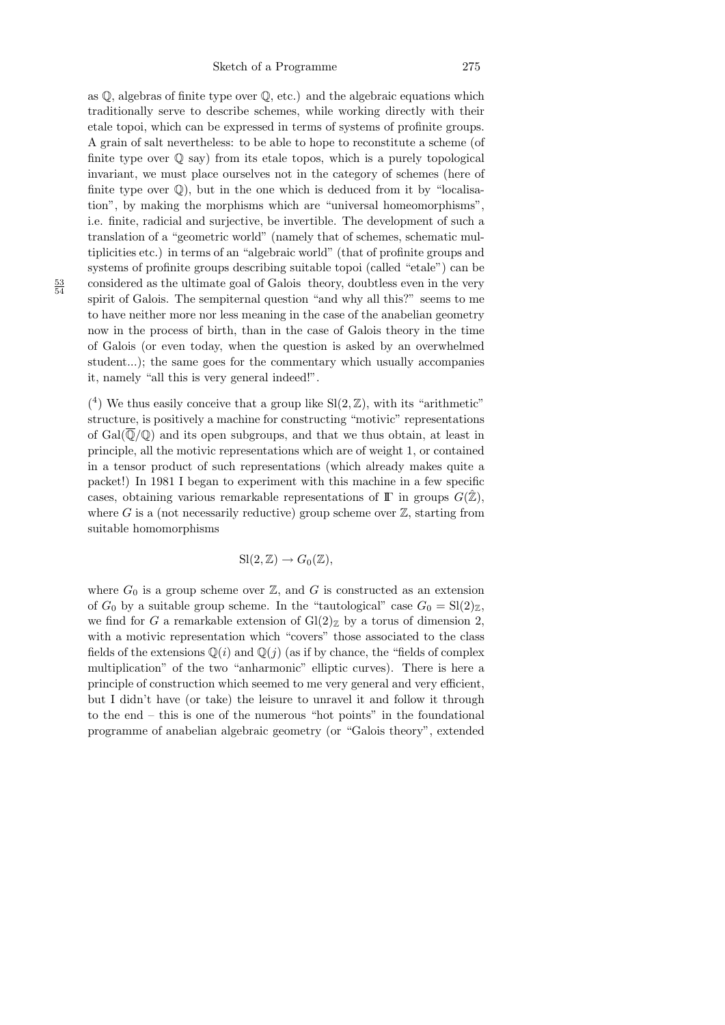as  $\mathbb{Q}$ , algebras of finite type over  $\mathbb{Q}$ , etc.) and the algebraic equations which traditionally serve to describe schemes, while working directly with their etale topoi, which can be expressed in terms of systems of profinite groups. A grain of salt nevertheless: to be able to hope to reconstitute a scheme (of finite type over  $\mathbb Q$  say) from its etale topos, which is a purely topological invariant, we must place ourselves not in the category of schemes (here of finite type over  $\mathbb{Q}$ ), but in the one which is deduced from it by "localisation", by making the morphisms which are "universal homeomorphisms", i.e. finite, radicial and surjective, be invertible. The development of such a translation of a "geometric world" (namely that of schemes, schematic multiplicities etc.) in terms of an "algebraic world" (that of profinite groups and systems of profinite groups describing suitable topoi (called "etale") can be <sup>53</sup> considered as the ultimate goal of Galois theory, doubtless even in the very spirit of Galois. The sempiternal question "and why all this?" seems to me to have neither more nor less meaning in the case of the anabelian geometry now in the process of birth, than in the case of Galois theory in the time of Galois (or even today, when the question is asked by an overwhelmed student...); the same goes for the commentary which usually accompanies it, namely "all this is very general indeed!".

<sup>(4</sup>) We thus easily conceive that a group like  $Sl(2, \mathbb{Z})$ , with its "arithmetic" structure, is positively a machine for constructing "motivic" representations of  $Gal(\overline{\mathbb{Q}}/\mathbb{Q})$  and its open subgroups, and that we thus obtain, at least in principle, all the motivic representations which are of weight 1, or contained in a tensor product of such representations (which already makes quite a packet!) In 1981 I began to experiment with this machine in a few specific cases, obtaining various remarkable representations of  $\Gamma$  in groups  $G(\mathbb{Z})$ , where G is a (not necessarily reductive) group scheme over  $\mathbb{Z}$ , starting from suitable homomorphisms

$$
Sl(2,\mathbb{Z})\rightarrow G_0(\mathbb{Z}),
$$

where  $G_0$  is a group scheme over  $\mathbb{Z}$ , and G is constructed as an extension of  $G_0$  by a suitable group scheme. In the "tautological" case  $G_0 = SI(2)_{\mathbb{Z}},$ we find for G a remarkable extension of  $Gl(2)<sub>\mathbb{Z}</sub>$  by a torus of dimension 2, with a motivic representation which "covers" those associated to the class fields of the extensions  $\mathbb{Q}(i)$  and  $\mathbb{Q}(j)$  (as if by chance, the "fields of complex" multiplication" of the two "anharmonic" elliptic curves). There is here a principle of construction which seemed to me very general and very efficient, but I didn't have (or take) the leisure to unravel it and follow it through to the end – this is one of the numerous "hot points" in the foundational programme of anabelian algebraic geometry (or "Galois theory", extended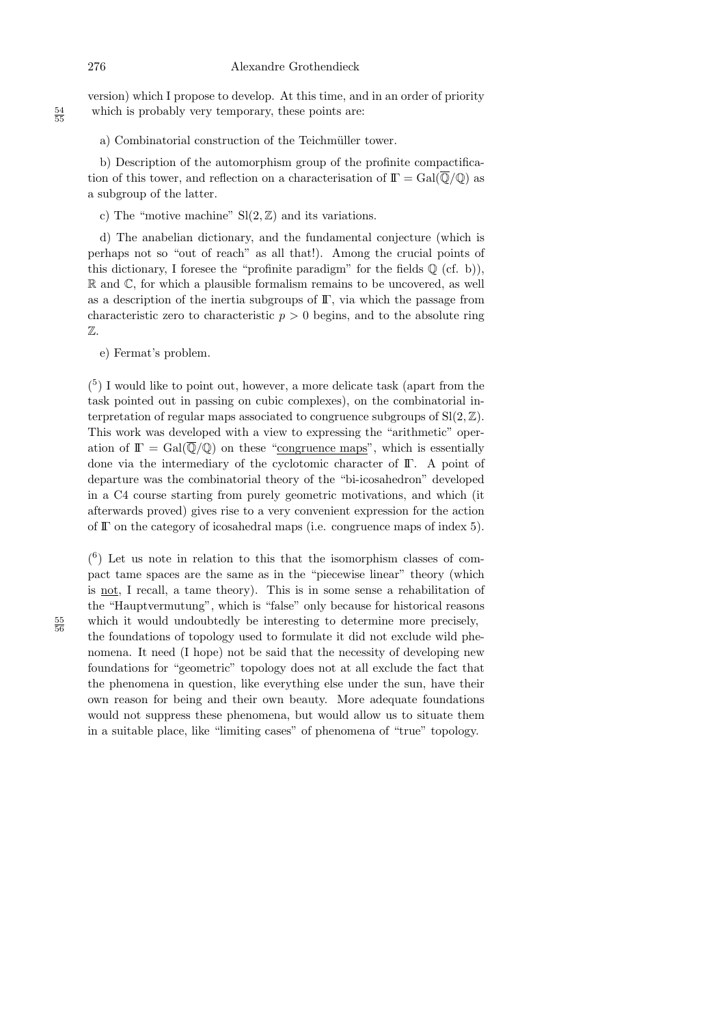version) which I propose to develop. At this time, and in an order of priority which is probably very temporary, these points are:

a) Combinatorial construction of the Teichmüller tower.

b) Description of the automorphism group of the profinite compactification of this tower, and reflection on a characterisation of  $\Gamma = \text{Gal}(\overline{\mathbb{Q}}/\mathbb{Q})$  as a subgroup of the latter.

c) The "motive machine"  $\text{Sl}(2,\mathbb{Z})$  and its variations.

d) The anabelian dictionary, and the fundamental conjecture (which is perhaps not so "out of reach" as all that!). Among the crucial points of this dictionary, I foresee the "profinite paradigm" for the fields  $\mathbb{Q}$  (cf. b)), R and C, for which a plausible formalism remains to be uncovered, as well as a description of the inertia subgroups of  $\mathbb{F}$ , via which the passage from characteristic zero to characteristic  $p > 0$  begins, and to the absolute ring Z.

e) Fermat's problem.

( 5 ) I would like to point out, however, a more delicate task (apart from the task pointed out in passing on cubic complexes), on the combinatorial interpretation of regular maps associated to congruence subgroups of  $\text{Sl}(2,\mathbb{Z})$ . This work was developed with a view to expressing the "arithmetic" operation of  $\Gamma = \text{Gal}(\overline{\mathbb{Q}}/\mathbb{Q})$  on these "congruence maps", which is essentially done via the intermediary of the cyclotomic character of IΓ. A point of departure was the combinatorial theory of the "bi-icosahedron" developed in a C4 course starting from purely geometric motivations, and which (it afterwards proved) gives rise to a very convenient expression for the action of IΓ on the category of icosahedral maps (i.e. congruence maps of index 5).

 $(6)$  Let us note in relation to this that the isomorphism classes of compact tame spaces are the same as in the "piecewise linear" theory (which is not, I recall, a tame theory). This is in some sense a rehabilitation of the "Hauptvermutung", which is "false" only because for historical reasons which it would undoubtedly be interesting to determine more precisely, the foundations of topology used to formulate it did not exclude wild phenomena. It need (I hope) not be said that the necessity of developing new foundations for "geometric" topology does not at all exclude the fact that the phenomena in question, like everything else under the sun, have their own reason for being and their own beauty. More adequate foundations would not suppress these phenomena, but would allow us to situate them in a suitable place, like "limiting cases" of phenomena of "true" topology.

 $rac{54}{55}$